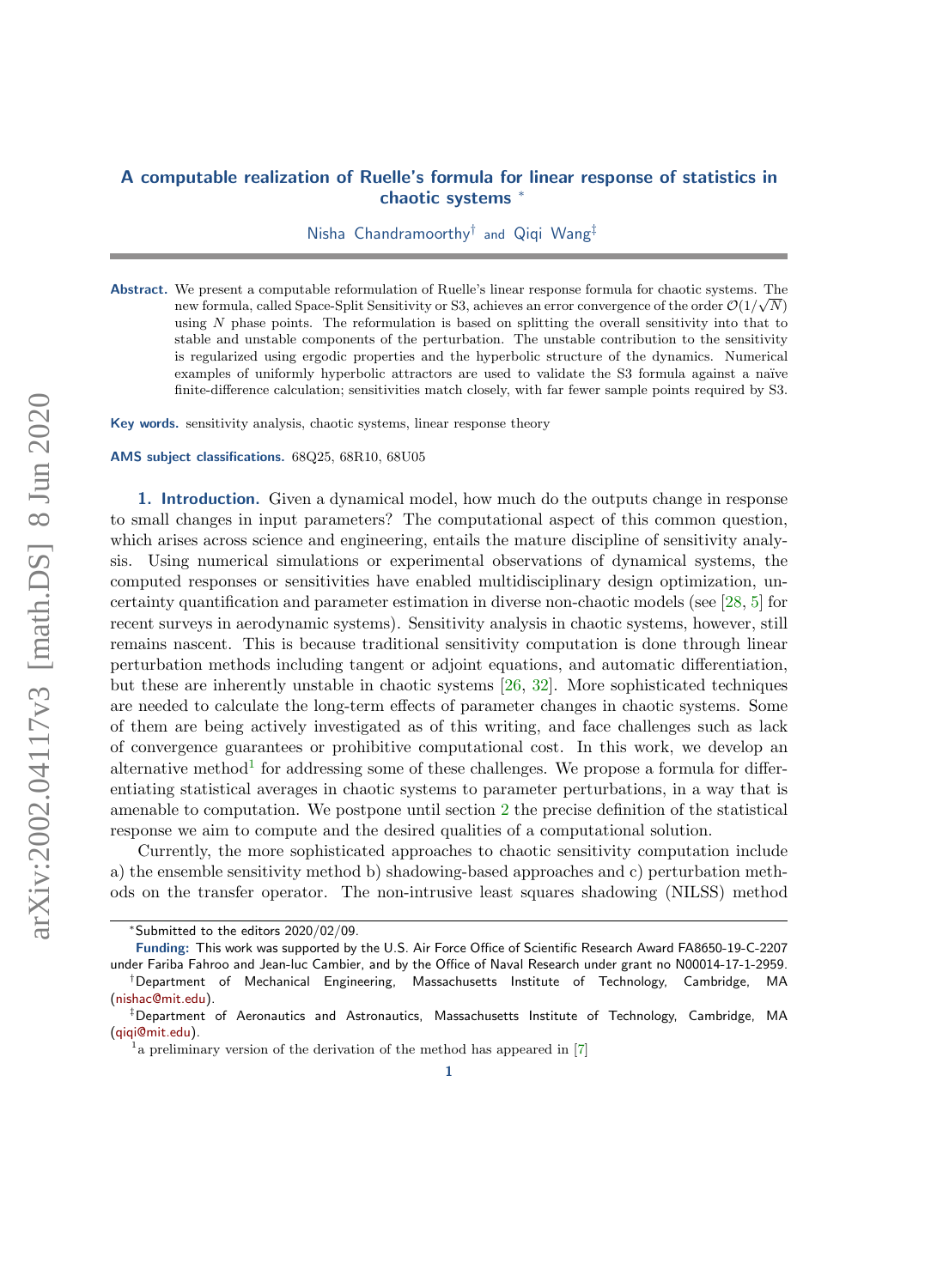# A computable realization of Ruelle's formula for linear response of statistics in chaotic systems <sup>∗</sup>

Nisha Chandramoorthy† and Qiqi Wang‡

Abstract. We present a computable reformulation of Ruelle's linear response formula for chaotic systems. The √ new formula, called Space-Split Sensitivity or S3, achieves an error convergence of the order  $\mathcal{O}(1/\sqrt{N})$ using N phase points. The reformulation is based on splitting the overall sensitivity into that to stable and unstable components of the perturbation. The unstable contribution to the sensitivity is regularized using ergodic properties and the hyperbolic structure of the dynamics. Numerical examples of uniformly hyperbolic attractors are used to validate the S3 formula against a naïve finite-difference calculation; sensitivities match closely, with far fewer sample points required by S3.

Key words. sensitivity analysis, chaotic systems, linear response theory

AMS subject classifications. 68Q25, 68R10, 68U05

1. Introduction. Given a dynamical model, how much do the outputs change in response to small changes in input parameters? The computational aspect of this common question, which arises across science and engineering, entails the mature discipline of sensitivity analysis. Using numerical simulations or experimental observations of dynamical systems, the computed responses or sensitivities have enabled multidisciplinary design optimization, uncertainty quantification and parameter estimation in diverse non-chaotic models (see [\[28,](#page-20-0) [5\]](#page-19-0) for recent surveys in aerodynamic systems). Sensitivity analysis in chaotic systems, however, still remains nascent. This is because traditional sensitivity computation is done through linear perturbation methods including tangent or adjoint equations, and automatic differentiation, but these are inherently unstable in chaotic systems [\[26,](#page-20-1) [32\]](#page-20-2). More sophisticated techniques are needed to calculate the long-term effects of parameter changes in chaotic systems. Some of them are being actively investigated as of this writing, and face challenges such as lack of convergence guarantees or prohibitive computational cost. In this work, we develop an alternative method<sup>[1](#page-0-0)</sup> for addressing some of these challenges. We propose a formula for differentiating statistical averages in chaotic systems to parameter perturbations, in a way that is amenable to computation. We postpone until section [2](#page-2-0) the precise definition of the statistical response we aim to compute and the desired qualities of a computational solution.

Currently, the more sophisticated approaches to chaotic sensitivity computation include a) the ensemble sensitivity method b) shadowing-based approaches and c) perturbation methods on the transfer operator. The non-intrusive least squares shadowing (NILSS) method

<sup>∗</sup>Submitted to the editors 2020/02/09.

Funding: This work was supported by the U.S. Air Force Office of Scientific Research Award FA8650-19-C-2207 under Fariba Fahroo and Jean-luc Cambier, and by the Office of Naval Research under grant no N00014-17-1-2959. †Department of Mechanical Engineering, Massachusetts Institute of Technology, Cambridge, MA [\(nishac@mit.edu\)](mailto:nishac@mit.edu).

<sup>‡</sup>Department of Aeronautics and Astronautics, Massachusetts Institute of Technology, Cambridge, MA [\(qiqi@mit.edu\)](mailto:qiqi@mit.edu).

<span id="page-0-0"></span><sup>&</sup>lt;sup>1</sup> a preliminary version of the derivation of the method has appeared in [\[7\]](#page-19-1)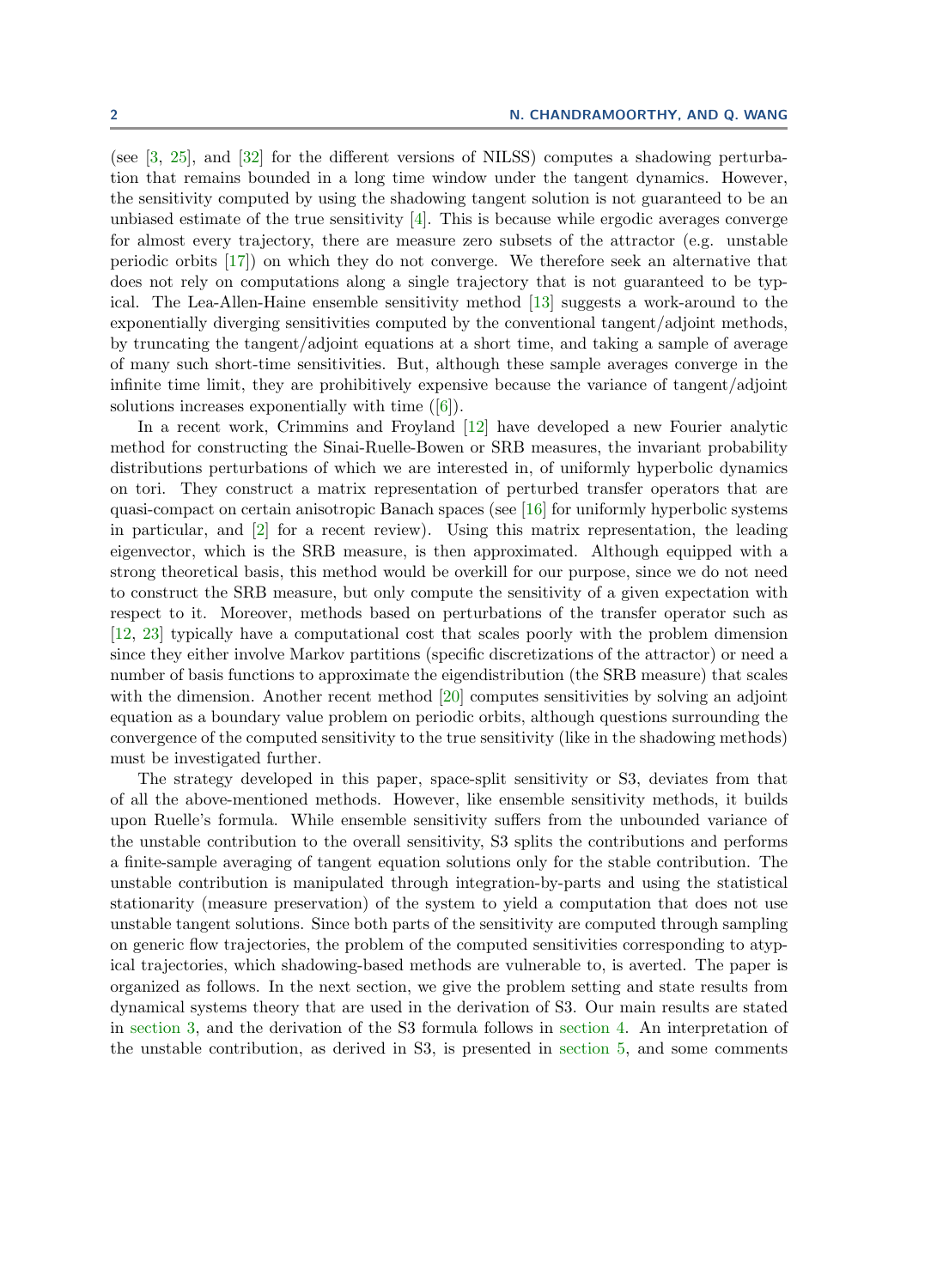(see [\[3,](#page-19-2) [25\]](#page-20-3), and [\[32\]](#page-20-2) for the different versions of NILSS) computes a shadowing perturbation that remains bounded in a long time window under the tangent dynamics. However, the sensitivity computed by using the shadowing tangent solution is not guaranteed to be an unbiased estimate of the true sensitivity  $[4]$ . This is because while ergodic averages converge for almost every trajectory, there are measure zero subsets of the attractor (e.g. unstable periodic orbits [\[17\]](#page-19-4)) on which they do not converge. We therefore seek an alternative that does not rely on computations along a single trajectory that is not guaranteed to be typical. The Lea-Allen-Haine ensemble sensitivity method [\[13\]](#page-19-5) suggests a work-around to the exponentially diverging sensitivities computed by the conventional tangent/adjoint methods, by truncating the tangent/adjoint equations at a short time, and taking a sample of average of many such short-time sensitivities. But, although these sample averages converge in the infinite time limit, they are prohibitively expensive because the variance of tangent/adjoint solutions increases exponentially with time ([\[6\]](#page-19-6)).

In a recent work, Crimmins and Froyland [\[12\]](#page-19-7) have developed a new Fourier analytic method for constructing the Sinai-Ruelle-Bowen or SRB measures, the invariant probability distributions perturbations of which we are interested in, of uniformly hyperbolic dynamics on tori. They construct a matrix representation of perturbed transfer operators that are quasi-compact on certain anisotropic Banach spaces (see [\[16\]](#page-19-8) for uniformly hyperbolic systems in particular, and [\[2\]](#page-19-9) for a recent review). Using this matrix representation, the leading eigenvector, which is the SRB measure, is then approximated. Although equipped with a strong theoretical basis, this method would be overkill for our purpose, since we do not need to construct the SRB measure, but only compute the sensitivity of a given expectation with respect to it. Moreover, methods based on perturbations of the transfer operator such as [\[12,](#page-19-7) [23\]](#page-20-4) typically have a computational cost that scales poorly with the problem dimension since they either involve Markov partitions (specific discretizations of the attractor) or need a number of basis functions to approximate the eigendistribution (the SRB measure) that scales with the dimension. Another recent method [\[20\]](#page-20-5) computes sensitivities by solving an adjoint equation as a boundary value problem on periodic orbits, although questions surrounding the convergence of the computed sensitivity to the true sensitivity (like in the shadowing methods) must be investigated further.

The strategy developed in this paper, space-split sensitivity or S3, deviates from that of all the above-mentioned methods. However, like ensemble sensitivity methods, it builds upon Ruelle's formula. While ensemble sensitivity suffers from the unbounded variance of the unstable contribution to the overall sensitivity, S3 splits the contributions and performs a finite-sample averaging of tangent equation solutions only for the stable contribution. The unstable contribution is manipulated through integration-by-parts and using the statistical stationarity (measure preservation) of the system to yield a computation that does not use unstable tangent solutions. Since both parts of the sensitivity are computed through sampling on generic flow trajectories, the problem of the computed sensitivities corresponding to atypical trajectories, which shadowing-based methods are vulnerable to, is averted. The paper is organized as follows. In the next section, we give the problem setting and state results from dynamical systems theory that are used in the derivation of S3. Our main results are stated in [section 3,](#page-4-0) and the derivation of the S3 formula follows in [section 4.](#page-5-0) An interpretation of the unstable contribution, as derived in S3, is presented in [section 5,](#page-11-0) and some comments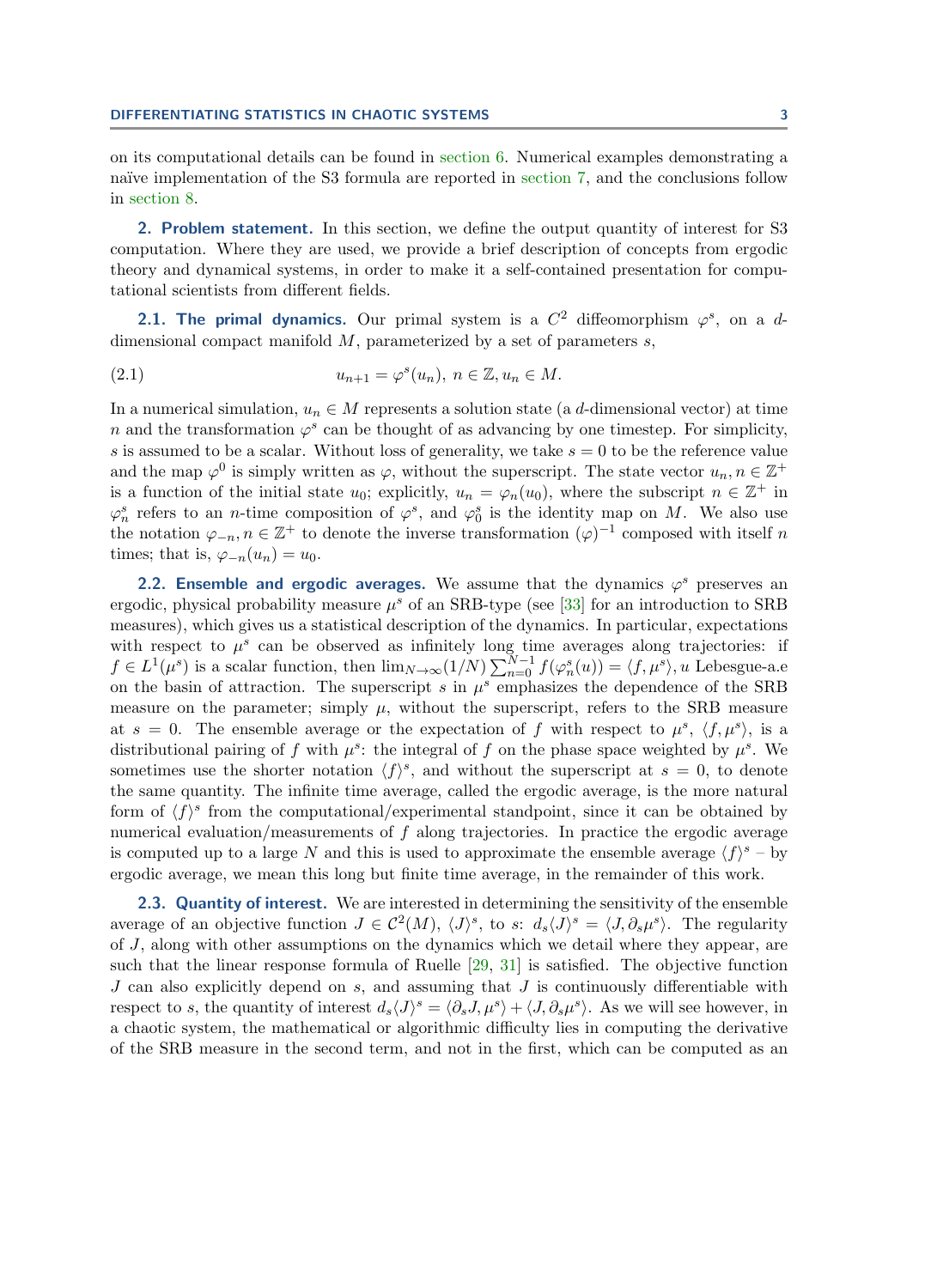#### DIFFERENTIATING STATISTICS IN CHAOTIC SYSTEMS 3

on its computational details can be found in [section 6.](#page-12-0) Numerical examples demonstrating a naïve implementation of the S3 formula are reported in [section 7,](#page-13-0) and the conclusions follow in [section 8.](#page-15-0)

<span id="page-2-0"></span>2. Problem statement. In this section, we define the output quantity of interest for S3 computation. Where they are used, we provide a brief description of concepts from ergodic theory and dynamical systems, in order to make it a self-contained presentation for computational scientists from different fields.

**2.1. The primal dynamics.** Our primal system is a  $C^2$  diffeomorphism  $\varphi^s$ , on a ddimensional compact manifold  $M$ , parameterized by a set of parameters  $s$ ,

<span id="page-2-1"></span>(2.1) 
$$
u_{n+1} = \varphi^s(u_n), \ n \in \mathbb{Z}, u_n \in M.
$$

In a numerical simulation,  $u_n \in M$  represents a solution state (a d-dimensional vector) at time n and the transformation  $\varphi^s$  can be thought of as advancing by one timestep. For simplicity, s is assumed to be a scalar. Without loss of generality, we take  $s = 0$  to be the reference value and the map  $\varphi^0$  is simply written as  $\varphi$ , without the superscript. The state vector  $u_n, n \in \mathbb{Z}^+$ is a function of the initial state  $u_0$ ; explicitly,  $u_n = \varphi_n(u_0)$ , where the subscript  $n \in \mathbb{Z}^+$  in  $\varphi_n^s$  refers to an *n*-time composition of  $\varphi^s$ , and  $\varphi_0^s$  is the identity map on M. We also use the notation  $\varphi_{-n}, n \in \mathbb{Z}^+$  to denote the inverse transformation  $(\varphi)^{-1}$  composed with itself n times; that is,  $\varphi_{-n}(u_n) = u_0$ .

2.2. Ensemble and ergodic averages. We assume that the dynamics  $\varphi^s$  preserves an ergodic, physical probability measure  $\mu^s$  of an SRB-type (see [\[33\]](#page-20-6) for an introduction to SRB measures), which gives us a statistical description of the dynamics. In particular, expectations with respect to  $\mu^s$  can be observed as infinitely long time averages along trajectories: if  $f \in L^1(\mu^s)$  is a scalar function, then  $\lim_{N \to \infty} (1/N) \sum_{n=0}^{N-1} f(\varphi_n^s(u)) = \langle f, \mu^s \rangle$ , u Lebesgue-a.e on the basin of attraction. The superscript  $s$  in  $\mu^s$  emphasizes the dependence of the SRB measure on the parameter; simply  $\mu$ , without the superscript, refers to the SRB measure at  $s = 0$ . The ensemble average or the expectation of f with respect to  $\mu^s$ ,  $\langle f, \mu^s \rangle$ , is a distributional pairing of f with  $\mu^s$ : the integral of f on the phase space weighted by  $\mu^s$ . We sometimes use the shorter notation  $\langle f \rangle^s$ , and without the superscript at  $s = 0$ , to denote the same quantity. The infinite time average, called the ergodic average, is the more natural form of  $\langle f \rangle^s$  from the computational/experimental standpoint, since it can be obtained by numerical evaluation/measurements of f along trajectories. In practice the ergodic average is computed up to a large N and this is used to approximate the ensemble average  $\langle f \rangle^s$  – by ergodic average, we mean this long but finite time average, in the remainder of this work.

2.3. Quantity of interest. We are interested in determining the sensitivity of the ensemble average of an objective function  $J \in \mathcal{C}^2(M)$ ,  $\langle J \rangle^s$ , to s:  $d_s \langle J \rangle^s = \langle J, \partial_s \mu^s \rangle$ . The regularity of J, along with other assumptions on the dynamics which we detail where they appear, are such that the linear response formula of Ruelle [\[29,](#page-20-7) [31\]](#page-20-8) is satisfied. The objective function  $J$  can also explicitly depend on  $s$ , and assuming that  $J$  is continuously differentiable with respect to s, the quantity of interest  $d_s \langle J \rangle^s = \langle \partial_s J, \mu^s \rangle + \langle J, \partial_s \mu^s \rangle$ . As we will see however, in a chaotic system, the mathematical or algorithmic difficulty lies in computing the derivative of the SRB measure in the second term, and not in the first, which can be computed as an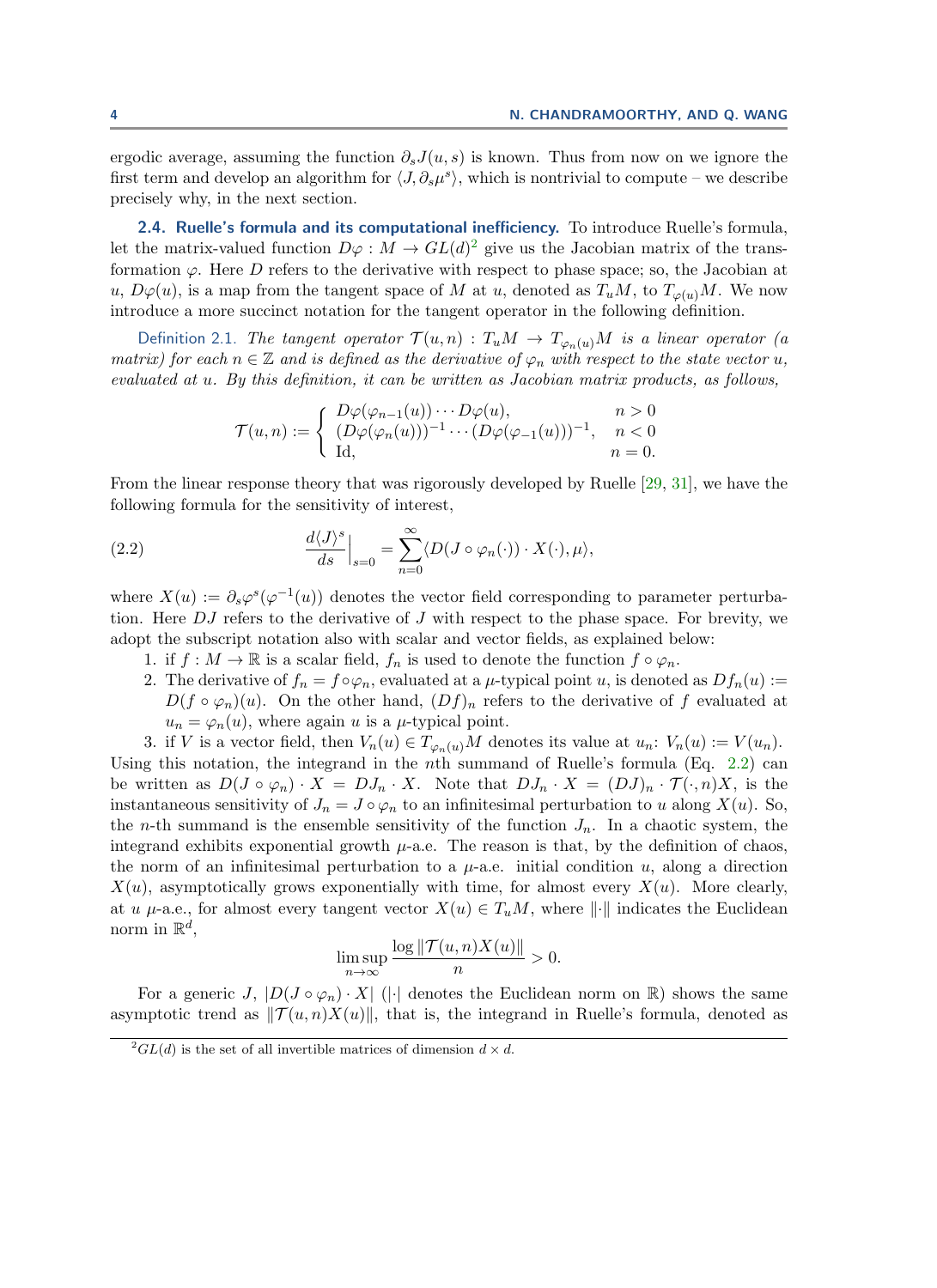ergodic average, assuming the function  $\partial_s J(u, s)$  is known. Thus from now on we ignore the first term and develop an algorithm for  $\langle J, \partial_s\mu^s \rangle$ , which is nontrivial to compute – we describe precisely why, in the next section.

<span id="page-3-2"></span>2.4. Ruelle's formula and its computational inefficiency. To introduce Ruelle's formula, let the matrix-valued function  $D\varphi : M \to GL(d)^2$  $D\varphi : M \to GL(d)^2$  give us the Jacobian matrix of the transformation  $\varphi$ . Here D refers to the derivative with respect to phase space; so, the Jacobian at u,  $D\varphi(u)$ , is a map from the tangent space of M at u, denoted as  $T_uM$ , to  $T_{\varphi(u)}M$ . We now introduce a more succinct notation for the tangent operator in the following definition.

Definition 2.1. The tangent operator  $\mathcal{T}(u,n) : T_uM \to T_{\varphi_n(u)}M$  is a linear operator (a matrix) for each  $n \in \mathbb{Z}$  and is defined as the derivative of  $\varphi_n$  with respect to the state vector u, evaluated at u. By this definition, it can be written as Jacobian matrix products, as follows,

$$
\mathcal{T}(u,n) := \begin{cases} D\varphi(\varphi_{n-1}(u)) \cdots D\varphi(u), & n > 0 \\ (D\varphi(\varphi_n(u)))^{-1} \cdots (D\varphi(\varphi_{-1}(u)))^{-1}, & n < 0 \\ \mathrm{Id}, & n = 0. \end{cases}
$$

From the linear response theory that was rigorously developed by Ruelle [\[29,](#page-20-7) [31\]](#page-20-8), we have the following formula for the sensitivity of interest,

<span id="page-3-1"></span>(2.2) 
$$
\left. \frac{d\langle J \rangle^s}{ds} \right|_{s=0} = \sum_{n=0}^{\infty} \langle D(J \circ \varphi_n(\cdot)) \cdot X(\cdot), \mu \rangle,
$$

where  $X(u) := \partial_s \varphi^s(\varphi^{-1}(u))$  denotes the vector field corresponding to parameter perturbation. Here DJ refers to the derivative of J with respect to the phase space. For brevity, we adopt the subscript notation also with scalar and vector fields, as explained below:

- 1. if  $f : M \to \mathbb{R}$  is a scalar field,  $f_n$  is used to denote the function  $f \circ \varphi_n$ .
- 2. The derivative of  $f_n = f \circ \varphi_n$ , evaluated at a  $\mu$ -typical point u, is denoted as  $Df_n(u) :=$  $D(f \circ \varphi_n)(u)$ . On the other hand,  $(Df)_n$  refers to the derivative of f evaluated at  $u_n = \varphi_n(u)$ , where again u is a  $\mu$ -typical point.

3. if V is a vector field, then  $V_n(u) \in T_{\varphi_n(u)}M$  denotes its value at  $u_n: V_n(u) := V(u_n)$ . Using this notation, the integrand in the nth summand of Ruelle's formula (Eq.  $2.2$ ) can be written as  $D(J \circ \varphi_n) \cdot X = DJ_n \cdot X$ . Note that  $DJ_n \cdot X = (DJ)_n \cdot \mathcal{T}(\cdot, n)X$ , is the instantaneous sensitivity of  $J_n = J \circ \varphi_n$  to an infinitesimal perturbation to u along  $X(u)$ . So, the *n*-th summand is the ensemble sensitivity of the function  $J_n$ . In a chaotic system, the integrand exhibits exponential growth  $\mu$ -a.e. The reason is that, by the definition of chaos, the norm of an infinitesimal perturbation to a  $\mu$ -a.e. initial condition u, along a direction  $X(u)$ , asymptotically grows exponentially with time, for almost every  $X(u)$ . More clearly, at u  $\mu$ -a.e., for almost every tangent vector  $X(u) \in T_uM$ , where  $\|\cdot\|$  indicates the Euclidean norm in  $\mathbb{R}^d$ ,

$$
\limsup_{n \to \infty} \frac{\log \|\mathcal{T}(u,n)X(u)\|}{n} > 0.
$$

For a generic J,  $|D(J \circ \varphi_n) \cdot X|$  ( $|\cdot|$  denotes the Euclidean norm on R) shows the same asymptotic trend as  $\|\mathcal{T}(u, n)X(u)\|$ , that is, the integrand in Ruelle's formula, denoted as

<span id="page-3-0"></span> $^{2}GL(d)$  is the set of all invertible matrices of dimension  $d \times d$ .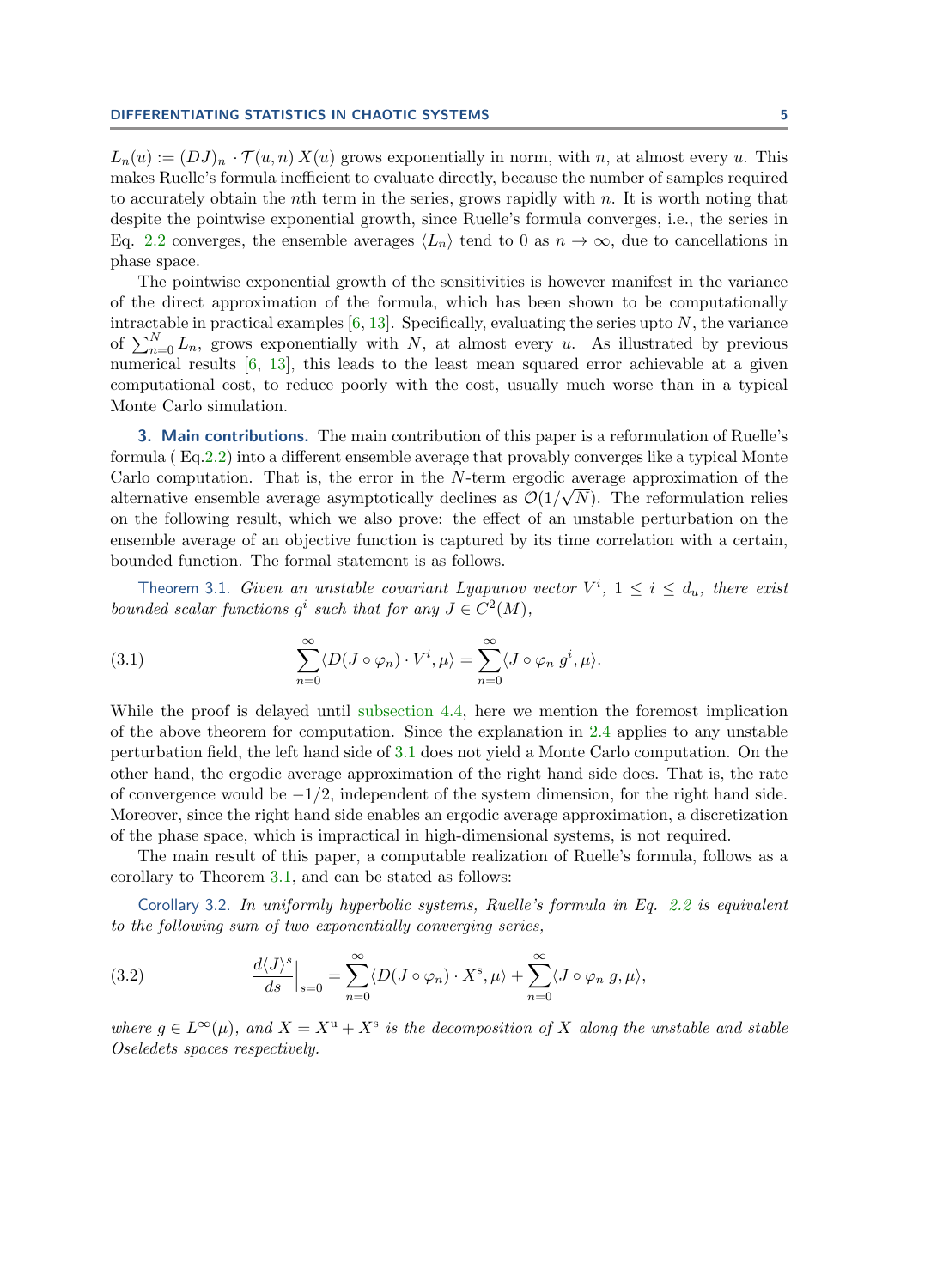$L_n(u) := (DJ)_n \cdot \mathcal{T}(u, n) X(u)$  grows exponentially in norm, with n, at almost every u. This makes Ruelle's formula inefficient to evaluate directly, because the number of samples required to accurately obtain the nth term in the series, grows rapidly with  $n$ . It is worth noting that despite the pointwise exponential growth, since Ruelle's formula converges, i.e., the series in Eq. [2.2](#page-3-1) converges, the ensemble averages  $\langle L_n \rangle$  tend to 0 as  $n \to \infty$ , due to cancellations in phase space.

The pointwise exponential growth of the sensitivities is however manifest in the variance of the direct approximation of the formula, which has been shown to be computationally intractable in practical examples  $[6, 13]$  $[6, 13]$  $[6, 13]$ . Specifically, evaluating the series upto N, the variance of  $\sum_{n=0}^{N} L_n$ , grows exponentially with N, at almost every u. As illustrated by previous numerical results [\[6,](#page-19-6) [13\]](#page-19-5), this leads to the least mean squared error achievable at a given computational cost, to reduce poorly with the cost, usually much worse than in a typical Monte Carlo simulation.

<span id="page-4-0"></span>3. Main contributions. The main contribution of this paper is a reformulation of Ruelle's formula ( Eq[.2.2\)](#page-3-1) into a different ensemble average that provably converges like a typical Monte Carlo computation. That is, the error in the  $N$ -term ergodic average approximation of the alternative ensemble average asymptotically declines as  $\mathcal{O}(1/\sqrt{N})$ . The reformulation relies on the following result, which we also prove: the effect of an unstable perturbation on the ensemble average of an objective function is captured by its time correlation with a certain, bounded function. The formal statement is as follows.

<span id="page-4-2"></span>Theorem 3.1. Given an unstable covariant Lyapunov vector  $V^i$ ,  $1 \leq i \leq d_u$ , there exist bounded scalar functions  $g^i$  such that for any  $J \in C^2(M)$ ,

<span id="page-4-1"></span>(3.1) 
$$
\sum_{n=0}^{\infty} \langle D(J \circ \varphi_n) \cdot V^i, \mu \rangle = \sum_{n=0}^{\infty} \langle J \circ \varphi_n g^i, \mu \rangle.
$$

While the proof is delayed until [subsection 4.4,](#page-7-0) here we mention the foremost implication of the above theorem for computation. Since the explanation in [2.4](#page-3-2) applies to any unstable perturbation field, the left hand side of [3.1](#page-4-1) does not yield a Monte Carlo computation. On the other hand, the ergodic average approximation of the right hand side does. That is, the rate of convergence would be  $-1/2$ , independent of the system dimension, for the right hand side. Moreover, since the right hand side enables an ergodic average approximation, a discretization of the phase space, which is impractical in high-dimensional systems, is not required.

<span id="page-4-4"></span>The main result of this paper, a computable realization of Ruelle's formula, follows as a corollary to Theorem [3.1,](#page-4-2) and can be stated as follows:

Corollary 3.2. In uniformly hyperbolic systems, Ruelle's formula in Eq. [2.2](#page-3-1) is equivalent to the following sum of two exponentially converging series,

<span id="page-4-3"></span>(3.2) 
$$
\left. \frac{d\langle J \rangle^s}{ds} \right|_{s=0} = \sum_{n=0}^{\infty} \langle D(J \circ \varphi_n) \cdot X^s, \mu \rangle + \sum_{n=0}^{\infty} \langle J \circ \varphi_n g, \mu \rangle,
$$

where  $g \in L^{\infty}(\mu)$ , and  $X = X^{\mathrm{u}} + X^{\mathrm{s}}$  is the decomposition of X along the unstable and stable Oseledets spaces respectively.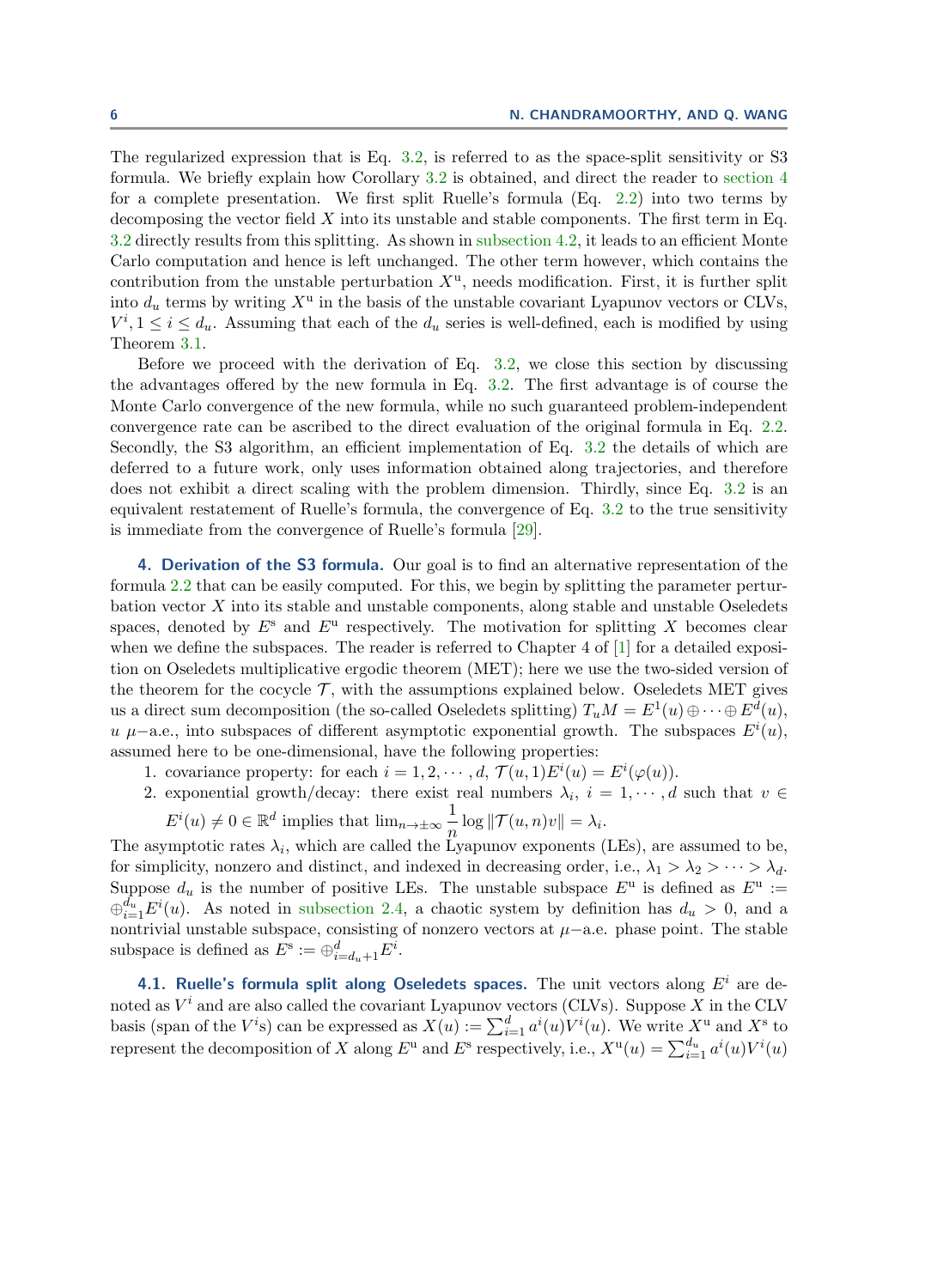The regularized expression that is Eq. [3.2,](#page-4-3) is referred to as the space-split sensitivity or S3 formula. We briefly explain how Corollary [3.2](#page-4-4) is obtained, and direct the reader to [section 4](#page-5-0) for a complete presentation. We first split Ruelle's formula (Eq. [2.2\)](#page-3-1) into two terms by decomposing the vector field  $X$  into its unstable and stable components. The first term in Eq. [3.2](#page-4-3) directly results from this splitting. As shown in [subsection 4.2,](#page-6-0) it leads to an efficient Monte Carlo computation and hence is left unchanged. The other term however, which contains the contribution from the unstable perturbation  $X^{\mathrm{u}}$ , needs modification. First, it is further split into  $d_u$  terms by writing  $X^u$  in the basis of the unstable covariant Lyapunov vectors or CLVs,  $V^i, 1 \leq i \leq d_u$ . Assuming that each of the  $d_u$  series is well-defined, each is modified by using Theorem [3.1.](#page-4-2)

Before we proceed with the derivation of Eq.  $3.2$ , we close this section by discussing the advantages offered by the new formula in Eq. [3.2.](#page-4-3) The first advantage is of course the Monte Carlo convergence of the new formula, while no such guaranteed problem-independent convergence rate can be ascribed to the direct evaluation of the original formula in Eq. [2.2.](#page-3-1) Secondly, the S3 algorithm, an efficient implementation of Eq. [3.2](#page-4-3) the details of which are deferred to a future work, only uses information obtained along trajectories, and therefore does not exhibit a direct scaling with the problem dimension. Thirdly, since Eq. [3.2](#page-4-3) is an equivalent restatement of Ruelle's formula, the convergence of Eq. [3.2](#page-4-3) to the true sensitivity is immediate from the convergence of Ruelle's formula [\[29\]](#page-20-7).

<span id="page-5-0"></span>4. Derivation of the S3 formula. Our goal is to find an alternative representation of the formula [2.2](#page-3-1) that can be easily computed. For this, we begin by splitting the parameter perturbation vector X into its stable and unstable components, along stable and unstable Oseledets spaces, denoted by  $E^s$  and  $E^u$  respectively. The motivation for splitting X becomes clear when we define the subspaces. The reader is referred to Chapter 4 of [\[1\]](#page-19-10) for a detailed exposition on Oseledets multiplicative ergodic theorem (MET); here we use the two-sided version of the theorem for the cocycle  $\mathcal{T}$ , with the assumptions explained below. Oseledets MET gives us a direct sum decomposition (the so-called Oseledets splitting)  $T_u M = E^1(u) \oplus \cdots \oplus E^d(u)$ , u  $\mu$ –a.e., into subspaces of different asymptotic exponential growth. The subspaces  $E^{i}(u)$ , assumed here to be one-dimensional, have the following properties:

- 1. covariance property: for each  $i = 1, 2, \dots, d, \mathcal{T}(u, 1) E^{i}(u) = E^{i}(\varphi(u)).$
- 2. exponential growth/decay: there exist real numbers  $\lambda_i$ ,  $i = 1, \dots, d$  such that  $v \in$ 
	- $E^i(u) \neq 0 \in \mathbb{R}^d$  implies that  $\lim_{n\to\pm\infty} \frac{1}{n}$  $\frac{1}{n}\log\|\mathcal{T}(u,n)v\| = \lambda_i.$

The asymptotic rates  $\lambda_i$ , which are called the Lyapunov exponents (LEs), are assumed to be, for simplicity, nonzero and distinct, and indexed in decreasing order, i.e.,  $\lambda_1 > \lambda_2 > \cdots > \lambda_d$ . Suppose  $d_u$  is the number of positive LEs. The unstable subspace  $E^u$  is defined as  $E^u$  :=  $\bigoplus_{i=1}^{d_u} E^i(u)$ . As noted in [subsection 2.4,](#page-3-2) a chaotic system by definition has  $d_u > 0$ , and a nontrivial unstable subspace, consisting of nonzero vectors at  $\mu$ −a.e. phase point. The stable subspace is defined as  $E^s := \bigoplus_{i=d_u+1}^d E^i$ .

4.1. Ruelle's formula split along Oseledets spaces. The unit vectors along  $E^i$  are denoted as  $V^i$  and are also called the covariant Lyapunov vectors (CLVs). Suppose X in the CLV basis (span of the  $V^i$ s) can be expressed as  $X(u) := \sum_{i=1}^d a^i(u)V^i(u)$ . We write  $X^u$  and  $X^s$  to represent the decomposition of X along  $E^{\text{u}}$  and  $E^{\text{s}}$  respectively, i.e.,  $X^{\text{u}}(u) = \sum_{i=1}^{d_u} a^i(u) V^i(u)$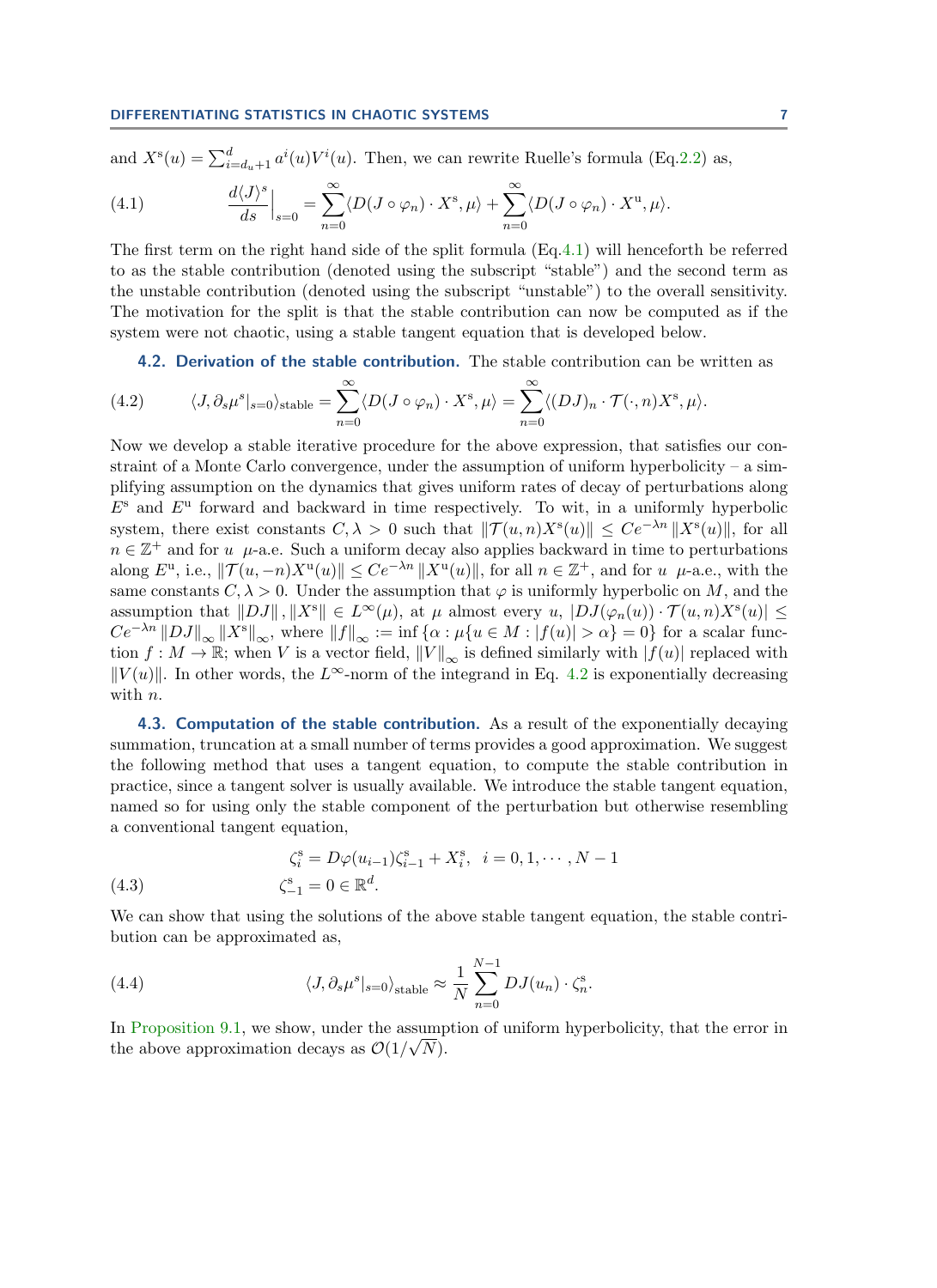#### DIFFERENTIATING STATISTICS IN CHAOTIC SYSTEMS 7

and 
$$
X^s(u) = \sum_{i=d_u+1}^d a^i(u)V^i(u)
$$
. Then, we can rewrite Ruelle's formula (Eq.2.2) as,

<span id="page-6-1"></span>(4.1) 
$$
\left. \frac{d\langle J \rangle^s}{ds} \right|_{s=0} = \sum_{n=0}^{\infty} \langle D(J \circ \varphi_n) \cdot X^s, \mu \rangle + \sum_{n=0}^{\infty} \langle D(J \circ \varphi_n) \cdot X^u, \mu \rangle.
$$

The first term on the right hand side of the split formula (Eq[.4.1\)](#page-6-1) will henceforth be referred to as the stable contribution (denoted using the subscript "stable") and the second term as the unstable contribution (denoted using the subscript "unstable") to the overall sensitivity. The motivation for the split is that the stable contribution can now be computed as if the system were not chaotic, using a stable tangent equation that is developed below.

4.2. Derivation of the stable contribution. The stable contribution can be written as

<span id="page-6-2"></span><span id="page-6-0"></span>(4.2) 
$$
\langle J, \partial_s \mu^s |_{s=0} \rangle_{\text{stable}} = \sum_{n=0}^{\infty} \langle D(J \circ \varphi_n) \cdot X^s, \mu \rangle = \sum_{n=0}^{\infty} \langle (DJ)_n \cdot \mathcal{T}(\cdot, n) X^s, \mu \rangle.
$$

Now we develop a stable iterative procedure for the above expression, that satisfies our constraint of a Monte Carlo convergence, under the assumption of uniform hyperbolicity – a simplifying assumption on the dynamics that gives uniform rates of decay of perturbations along  $E<sup>s</sup>$  and  $E<sup>u</sup>$  forward and backward in time respectively. To wit, in a uniformly hyperbolic system, there exist constants  $C, \lambda > 0$  such that  $\|\mathcal{T}(u, n)X^s(u)\| \leq Ce^{-\lambda n} \|X^s(u)\|$ , for all  $n \in \mathbb{Z}^+$  and for u  $\mu$ -a.e. Such a uniform decay also applies backward in time to perturbations along  $E^{\mathrm{u}}$ , i.e.,  $\|\mathcal{T}(u,-n)X^{\mathrm{u}}(u)\| \le Ce^{-\lambda n} \|X^{\mathrm{u}}(u)\|$ , for all  $n \in \mathbb{Z}^+$ , and for  $u \mu$ -a.e., with the same constants  $C, \lambda > 0$ . Under the assumption that  $\varphi$  is uniformly hyperbolic on M, and the assumption that  $||DJ||$ ,  $||X^s|| \in L^{\infty}(\mu)$ , at  $\mu$  almost every  $u$ ,  $|DJ(\varphi_n(u)) \cdot \mathcal{T}(u,n)X^s(u)| \leq$  $Ce^{-\lambda n} ||DJ||_{\infty} ||X^s||_{\infty}$ , where  $||f||_{\infty} := \inf \{\alpha : \mu\{u \in M : |f(u)| > \alpha\} = 0\}$  for a scalar function  $f : M \to \mathbb{R}$ ; when V is a vector field,  $||V||_{\infty}$  is defined similarly with  $|f(u)|$  replaced with  $||V(u)||$ . In other words, the L∞-norm of the integrand in Eq. [4.2](#page-6-2) is exponentially decreasing with *n*.

<span id="page-6-4"></span>**4.3. Computation of the stable contribution.** As a result of the exponentially decaying summation, truncation at a small number of terms provides a good approximation. We suggest the following method that uses a tangent equation, to compute the stable contribution in practice, since a tangent solver is usually available. We introduce the stable tangent equation, named so for using only the stable component of the perturbation but otherwise resembling a conventional tangent equation,

<span id="page-6-3"></span>(4.3) 
$$
\zeta_i^s = D\varphi(u_{i-1})\zeta_{i-1}^s + X_i^s, \ \ i = 0, 1, \cdots, N-1 \n\zeta_{-1}^s = 0 \in \mathbb{R}^d.
$$

We can show that using the solutions of the above stable tangent equation, the stable contribution can be approximated as,

(4.4) 
$$
\langle J, \partial_s \mu^s |_{s=0} \rangle_{\text{stable}} \approx \frac{1}{N} \sum_{n=0}^{N-1} D J(u_n) \cdot \zeta_n^s.
$$

In [Proposition 9.1,](#page-15-1) we show, under the assumption of uniform hyperbolicity, that the error in the above approximation decays as  $\mathcal{O}(1/\sqrt{N})$ .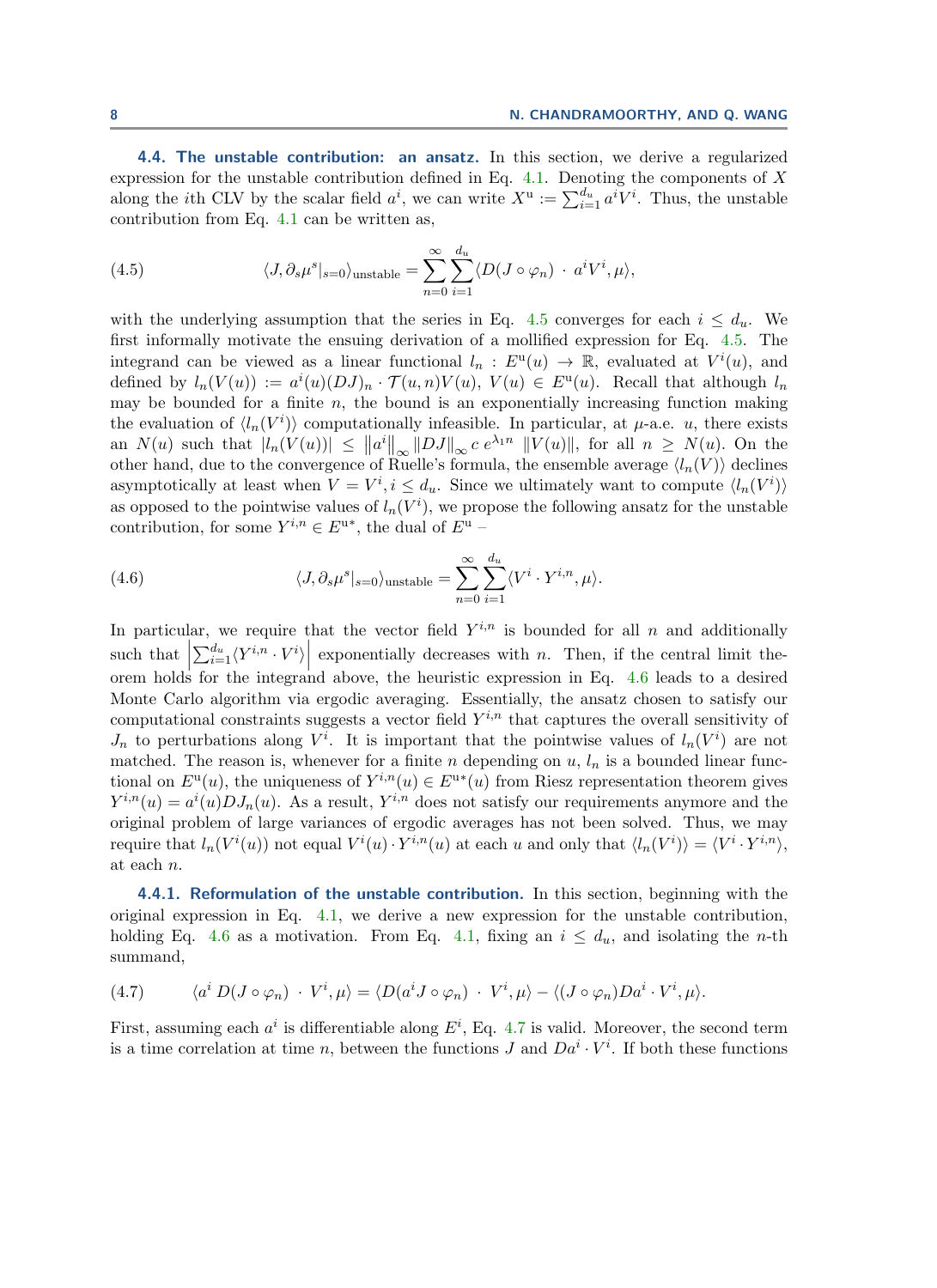<span id="page-7-0"></span>4.4. The unstable contribution: an ansatz. In this section, we derive a regularized expression for the unstable contribution defined in Eq.  $4.1$ . Denoting the components of X along the *i*th CLV by the scalar field  $a^i$ , we can write  $X^{\mathrm{u}} := \sum_{i=1}^{d_u} a^i V^i$ . Thus, the unstable contribution from Eq. [4.1](#page-6-1) can be written as,

<span id="page-7-1"></span>(4.5) 
$$
\langle J, \partial_s \mu^s |_{s=0} \rangle_{\text{unstable}} = \sum_{n=0}^{\infty} \sum_{i=1}^{d_u} \langle D(J \circ \varphi_n) \cdot a^i V^i, \mu \rangle,
$$

with the underlying assumption that the series in Eq. [4.5](#page-7-1) converges for each  $i \leq d_u$ . We first informally motivate the ensuing derivation of a mollified expression for Eq. [4.5.](#page-7-1) The integrand can be viewed as a linear functional  $l_n : E^u(u) \to \mathbb{R}$ , evaluated at  $V^i(u)$ , and defined by  $l_n(V(u)) := a^i(u)(DJ)_n \cdot \mathcal{T}(u,n)V(u), V(u) \in E^u(u)$ . Recall that although  $l_n$ may be bounded for a finite  $n$ , the bound is an exponentially increasing function making the evaluation of  $\langle l_n(V^i)\rangle$  computationally infeasible. In particular, at  $\mu$ -a.e. u, there exists an  $N(u)$  such that  $||h_n(V(u))|| \leq ||a^i||_{\infty} ||DJ||_{\infty} c e^{\lambda_1 n} ||V(u)||$ , for all  $n \geq N(u)$ . On the other hand, due to the convergence of Ruelle's formula, the ensemble average  $\langle l_n(V) \rangle$  declines asymptotically at least when  $V = V^i, i \le d_u$ . Since we ultimately want to compute  $\langle l_n(V^i) \rangle$ as opposed to the pointwise values of  $l_n(V^i)$ , we propose the following ansatz for the unstable contribution, for some  $Y^{i,n} \in E^{u*}$ , the dual of  $E^u$  –

<span id="page-7-2"></span>(4.6) 
$$
\langle J, \partial_s \mu^s |_{s=0} \rangle_{\text{unstable}} = \sum_{n=0}^{\infty} \sum_{i=1}^{d_u} \langle V^i \cdot Y^{i,n}, \mu \rangle.
$$

In particular, we require that the vector field  $Y^{i,n}$  is bounded for all n and additionally such that  $\left|\sum_{i=1}^{d_u}\langle Y^{i,n} \cdot V^i\rangle\right|$  exponentially decreases with n. Then, if the central limit theorder that  $\sum_{i=1}^{n}$  and  $\sum_{i=1}^{n}$  is the integrand above, the heuristic expression in Eq. [4.6](#page-7-2) leads to a desired Monte Carlo algorithm via ergodic averaging. Essentially, the ansatz chosen to satisfy our computational constraints suggests a vector field  $Y^{i,n}$  that captures the overall sensitivity of  $J_n$  to perturbations along  $V^i$ . It is important that the pointwise values of  $l_n(V^i)$  are not matched. The reason is, whenever for a finite n depending on  $u, l_n$  is a bounded linear functional on  $E^{\mathrm{u}}(u)$ , the uniqueness of  $Y^{i,n}(u) \in E^{\mathrm{u}*}(u)$  from Riesz representation theorem gives  $Y^{i,n}(u) = a^{i}(u) D J_n(u)$ . As a result,  $Y^{i,n}$  does not satisfy our requirements anymore and the original problem of large variances of ergodic averages has not been solved. Thus, we may require that  $l_n(V^i(u))$  not equal  $V^i(u) \cdot Y^{i,n}(u)$  at each u and only that  $\langle l_n(V^i) \rangle = \langle V^i \cdot Y^{i,n} \rangle$ , at each n.

4.4.1. Reformulation of the unstable contribution. In this section, beginning with the original expression in Eq. [4.1,](#page-6-1) we derive a new expression for the unstable contribution, holding Eq. [4.6](#page-7-2) as a motivation. From Eq. [4.1,](#page-6-1) fixing an  $i \leq d_u$ , and isolating the *n*-th summand,

<span id="page-7-3"></span>(4.7) 
$$
\langle a^i D(J \circ \varphi_n) \cdot V^i, \mu \rangle = \langle D(a^i J \circ \varphi_n) \cdot V^i, \mu \rangle - \langle (J \circ \varphi_n) D a^i \cdot V^i, \mu \rangle.
$$

First, assuming each  $a^i$  is differentiable along  $E^i$ , Eq. [4.7](#page-7-3) is valid. Moreover, the second term is a time correlation at time n, between the functions J and  $Da<sup>i</sup> \cdot V<sup>i</sup>$ . If both these functions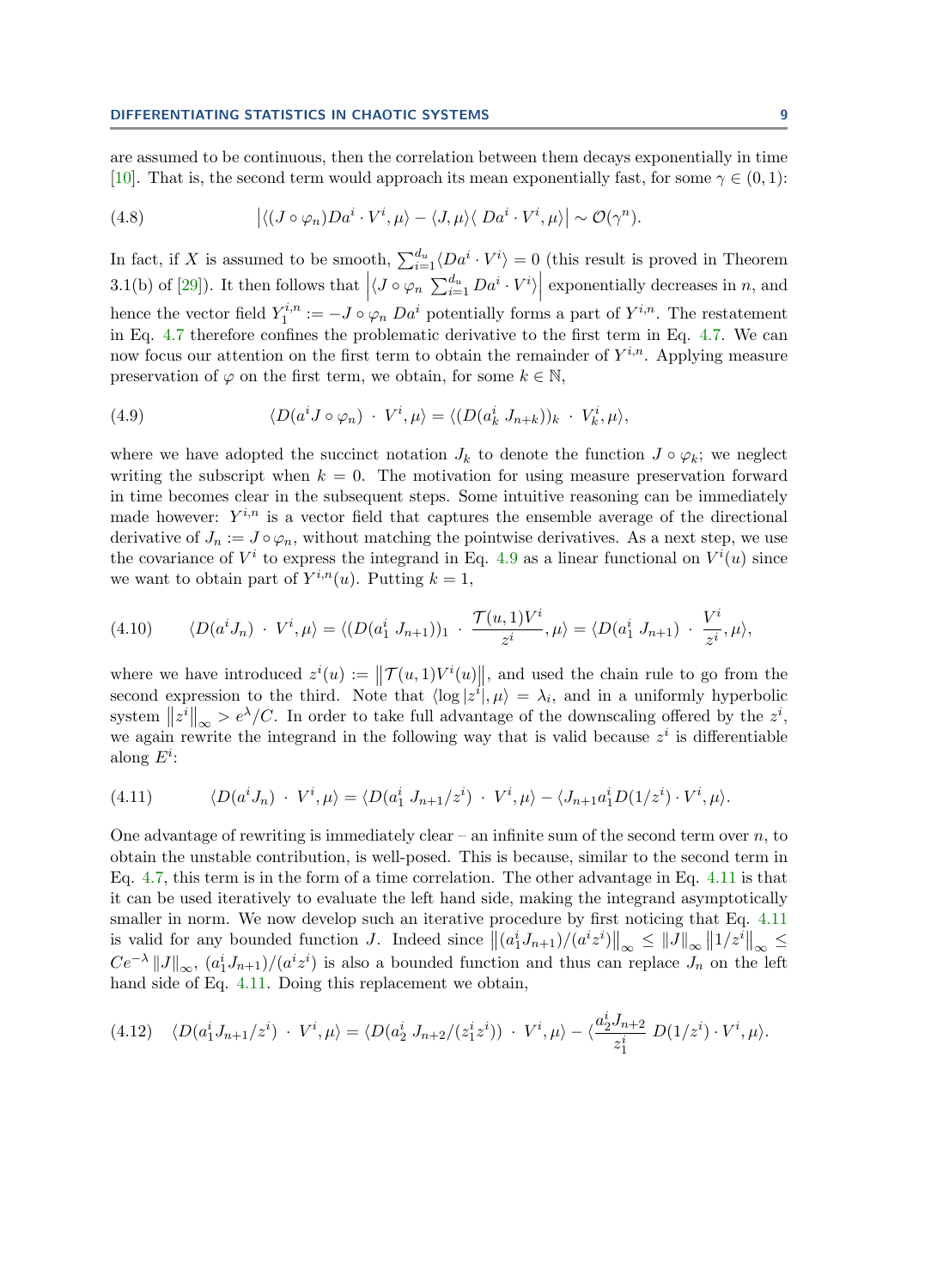are assumed to be continuous, then the correlation between them decays exponentially in time [\[10\]](#page-19-11). That is, the second term would approach its mean exponentially fast, for some  $\gamma \in (0, 1)$ :

(4.8) 
$$
\left| \langle (J \circ \varphi_n) D a^i \cdot V^i, \mu \rangle - \langle J, \mu \rangle \langle D a^i \cdot V^i, \mu \rangle \right| \sim \mathcal{O}(\gamma^n).
$$

In fact, if X is assumed to be smooth,  $\sum_{i=1}^{d_u} \langle Da^i \cdot V^i \rangle = 0$  (this result is proved in Theorem 3.1(b) of [\[29\]](#page-20-7)). It then follows that  $\left|\langle J \circ \varphi_n \sum_{i=1}^{d_u} Da^i \cdot V^i \rangle \right|$  exponentially decreases in n, and hence the vector field  $Y_1^{i,n}$  $I_1^{i,n} := -J \circ \varphi_n D a^i$  potentially forms a part of  $Y^{i,n}$ . The restatement in Eq. [4.7](#page-7-3) therefore confines the problematic derivative to the first term in Eq. [4.7.](#page-7-3) We can now focus our attention on the first term to obtain the remainder of  $Y^{i,n}$ . Applying measure preservation of  $\varphi$  on the first term, we obtain, for some  $k \in \mathbb{N}$ ,

<span id="page-8-0"></span>(4.9) 
$$
\langle D(a^i J \circ \varphi_n) \cdot V^i, \mu \rangle = \langle (D(a^i_k J_{n+k}))_k \cdot V^i_k, \mu \rangle,
$$

where we have adopted the succinct notation  $J_k$  to denote the function  $J \circ \varphi_k$ ; we neglect writing the subscript when  $k = 0$ . The motivation for using measure preservation forward in time becomes clear in the subsequent steps. Some intuitive reasoning can be immediately made however:  $Y^{i,n}$  is a vector field that captures the ensemble average of the directional derivative of  $J_n := J \circ \varphi_n$ , without matching the pointwise derivatives. As a next step, we use the covariance of  $V^i$  to express the integrand in Eq. [4.9](#page-8-0) as a linear functional on  $V^i(u)$  since we want to obtain part of  $Y^{i,n}(u)$ . Putting  $k = 1$ ,

$$
(4.10) \qquad \langle D(a^i J_n) \cdot V^i, \mu \rangle = \langle (D(a^i_1 J_{n+1}))_1 \cdot \frac{\mathcal{T}(u,1)V^i}{z^i}, \mu \rangle = \langle D(a^i_1 J_{n+1}) \cdot \frac{V^i}{z^i}, \mu \rangle,
$$

where we have introduced  $z^i(u) := ||\mathcal{T}(u,1)V^i(u)||$ , and used the chain rule to go from the second expression to the third. Note that  $\langle \log |z^i|, \mu \rangle = \lambda_i$ , and in a uniformly hyperbolic system  $||z^i||_{\infty} > e^{\lambda}/C$ . In order to take full advantage of the downscaling offered by the  $z^i$ , we again rewrite the integrand in the following way that is valid because  $z^i$  is differentiable along  $E^i$ :

<span id="page-8-1"></span>(4.11) 
$$
\langle D(a^i J_n) \cdot V^i, \mu \rangle = \langle D(a^i_1 J_{n+1}/z^i) \cdot V^i, \mu \rangle - \langle J_{n+1} a^i_1 D(1/z^i) \cdot V^i, \mu \rangle.
$$

One advantage of rewriting is immediately clear – an infinite sum of the second term over  $n$ , to obtain the unstable contribution, is well-posed. This is because, similar to the second term in Eq. [4.7,](#page-7-3) this term is in the form of a time correlation. The other advantage in Eq. [4.11](#page-8-1) is that it can be used iteratively to evaluate the left hand side, making the integrand asymptotically smaller in norm. We now develop such an iterative procedure by first noticing that Eq. [4.11](#page-8-1) is valid for any bounded function J. Indeed since  $||(a_1^i J_{n+1})/(a^i z^i)||_{\infty} \leq ||J||_{\infty} ||1/z^i||_{\infty} \leq$  $Ce^{-\lambda} ||J||_{\infty}$ ,  $(a_1^i J_{n+1})/(a^i z^i)$  is also a bounded function and thus can replace  $J_n$  on the left hand side of Eq. [4.11.](#page-8-1) Doing this replacement we obtain,

<span id="page-8-2"></span>
$$
(4.12) \quad \langle D(a_1^i J_{n+1}/z^i) \cdot V^i, \mu \rangle = \langle D(a_2^i J_{n+2}/(z_1^i z^i)) \cdot V^i, \mu \rangle - \langle \frac{a_2^i J_{n+2}}{z_1^i} D(1/z^i) \cdot V^i, \mu \rangle.
$$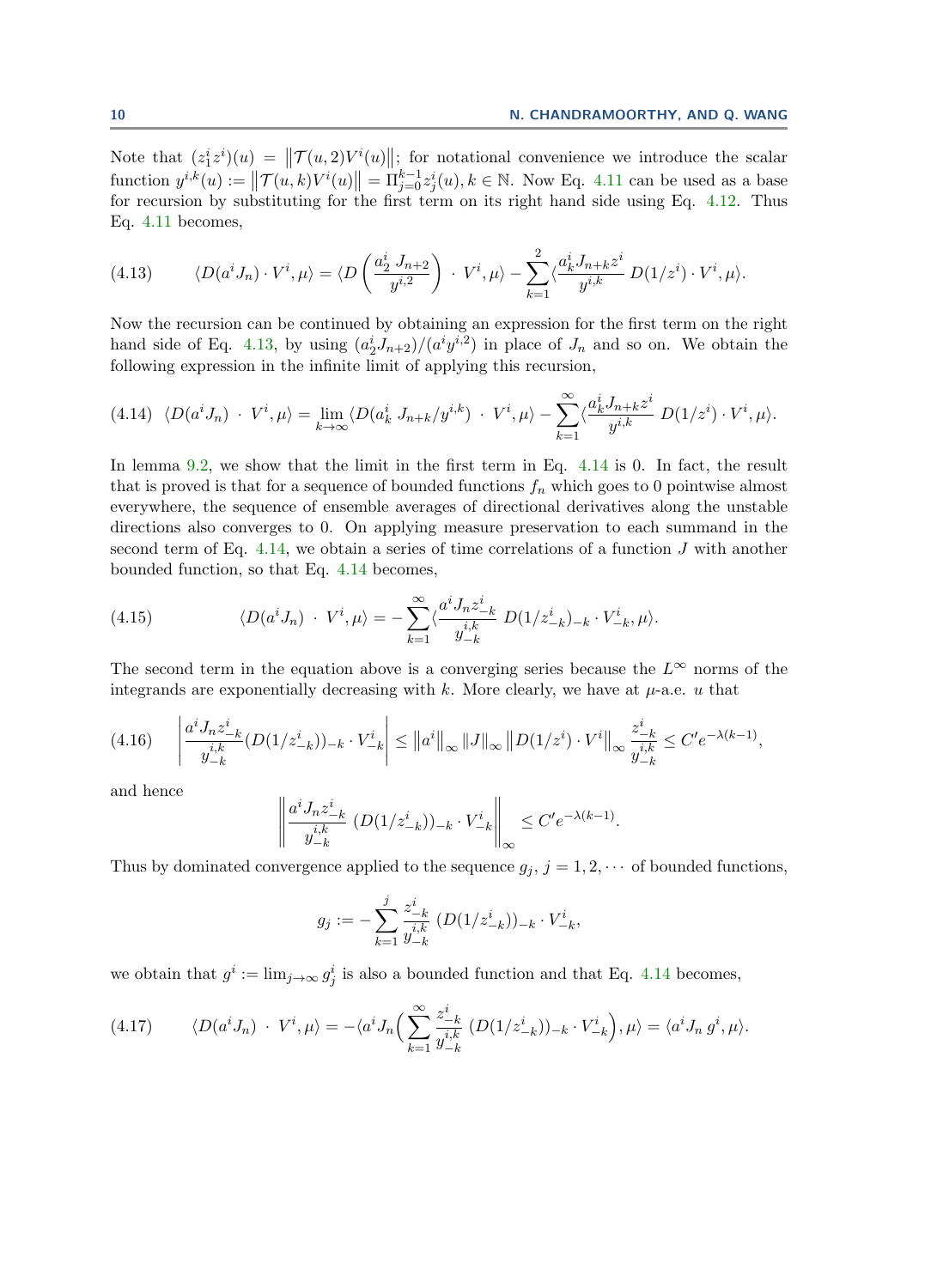Note that  $(z_1^i z^i)(u) = ||\mathcal{T}(u, 2)V^i(u)||$ ; for notational convenience we introduce the scalar function  $y^{i,k}(u) := \|\mathcal{T}(u,k)V^{i}(u)\| = \Pi_{j=0}^{k-1} z_j^{i}(u), k \in \mathbb{N}$ . Now Eq. [4.11](#page-8-1) can be used as a base for recursion by substituting for the first term on its right hand side using Eq. [4.12.](#page-8-2) Thus Eq. [4.11](#page-8-1) becomes,

<span id="page-9-0"></span>(4.13) 
$$
\langle D(a^i J_n) \cdot V^i, \mu \rangle = \langle D\left(\frac{a_2^i J_{n+2}}{y^{i,2}}\right) \cdot V^i, \mu \rangle - \sum_{k=1}^2 \langle \frac{a_k^i J_{n+k} z^i}{y^{i,k}} D(1/z^i) \cdot V^i, \mu \rangle.
$$

Now the recursion can be continued by obtaining an expression for the first term on the right hand side of Eq. [4.13,](#page-9-0) by using  $\left(\frac{a_2^i}{J_{n+2}}\right)/(a^i y^{i,2})$  in place of  $J_n$  and so on. We obtain the following expression in the infinite limit of applying this recursion,

<span id="page-9-1"></span>
$$
(4.14)\ \langle D(a^i J_n) \cdot V^i, \mu \rangle = \lim_{k \to \infty} \langle D(a_k^i J_{n+k}/y^{i,k}) \cdot V^i, \mu \rangle - \sum_{k=1}^{\infty} \langle \frac{a_k^i J_{n+k} z^i}{y^{i,k}} D(1/z^i) \cdot V^i, \mu \rangle.
$$

In lemma [9.2,](#page-17-0) we show that the limit in the first term in Eq. [4.14](#page-9-1) is 0. In fact, the result that is proved is that for a sequence of bounded functions  $f_n$  which goes to 0 pointwise almost everywhere, the sequence of ensemble averages of directional derivatives along the unstable directions also converges to 0. On applying measure preservation to each summand in the second term of Eq. [4.14,](#page-9-1) we obtain a series of time correlations of a function  $J$  with another bounded function, so that Eq. [4.14](#page-9-1) becomes,

(4.15) 
$$
\langle D(a^i J_n) \cdot V^i, \mu \rangle = - \sum_{k=1}^{\infty} \langle \frac{a^i J_n z_{-k}^i}{y_{-k}^{i,k}} D(1/z_{-k}^i)_{-k} \cdot V_{-k}^i, \mu \rangle.
$$

The second term in the equation above is a converging series because the  $L^{\infty}$  norms of the integrands are exponentially decreasing with k. More clearly, we have at  $\mu$ -a.e. u that

$$
(4.16) \quad \left| \frac{a^i J_n z_{-k}^i}{y_{-k}^{i,k}} (D(1/z_{-k}^i))_{-k} \cdot V_{-k}^i \right| \leq \|a^i\|_{\infty} \|J\|_{\infty} \|D(1/z^i) \cdot V^i\|_{\infty} \frac{z_{-k}^i}{y_{-k}^{i,k}} \leq C' e^{-\lambda(k-1)},
$$

and hence

$$
\left\| \frac{a^i J_n z_{-k}^i}{y_{-k}^{i,k}} (D(1/z_{-k}^i))_{-k} \cdot V_{-k}^i \right\|_{\infty} \le C' e^{-\lambda(k-1)}.
$$

Thus by dominated convergence applied to the sequence  $g_j$ ,  $j = 1, 2, \cdots$  of bounded functions,

$$
g_j := - \sum_{k=1}^j \frac{z_{-k}^i}{y_{-k}^{i,k}} \; (D(1/z_{-k}^i))_{-k} \cdot V_{-k}^i,
$$

we obtain that  $g^i := \lim_{j \to \infty} g^i_j$  is also a bounded function and that Eq. [4.14](#page-9-1) becomes,

<span id="page-9-2"></span>(4.17) 
$$
\langle D(a^i J_n) \cdot V^i, \mu \rangle = -\langle a^i J_n \Big( \sum_{k=1}^{\infty} \frac{z_{-k}^i}{y_{-k}^{i,k}} \left( D(1/z_{-k}^i) \right)_{-k} \cdot V_{-k}^i \Big), \mu \rangle = \langle a^i J_n g^i, \mu \rangle.
$$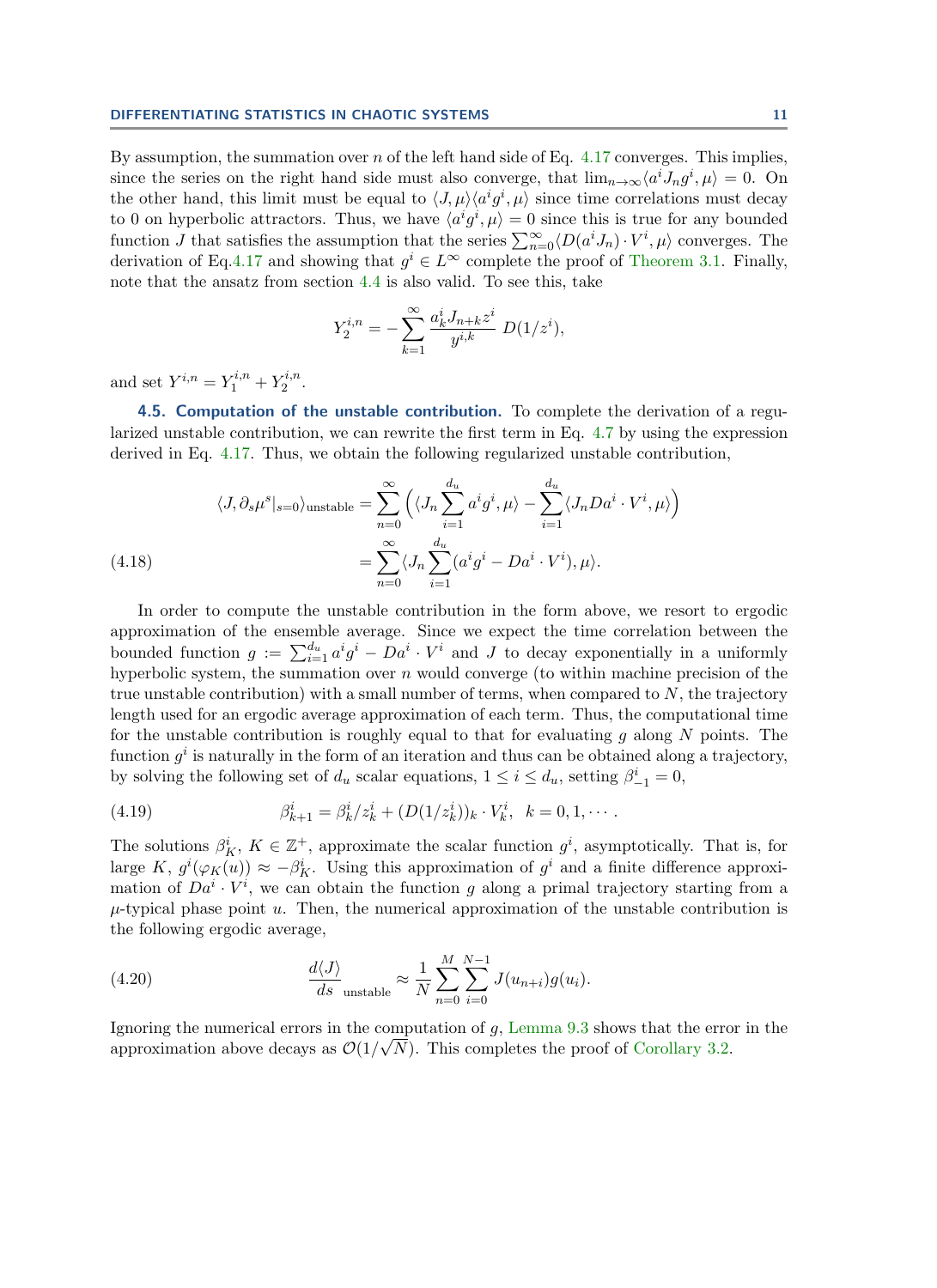By assumption, the summation over  $n$  of the left hand side of Eq. [4.17](#page-9-2) converges. This implies, since the series on the right hand side must also converge, that  $\lim_{n\to\infty} \langle a^i J_n g^i, \mu \rangle = 0$ . On the other hand, this limit must be equal to  $\langle J, \mu \rangle \langle a^i g^i, \mu \rangle$  since time correlations must decay to 0 on hyperbolic attractors. Thus, we have  $\langle a^i g^i, \mu \rangle = 0$  since this is true for any bounded function J that satisfies the assumption that the series  $\sum_{n=0}^{\infty} \langle D(a^i J_n) \cdot V^i, \mu \rangle$  converges. The derivation of Eq[.4.17](#page-9-2) and showing that  $g^i \in L^{\infty}$  complete the proof of [Theorem 3.1.](#page-4-2) Finally, note that the ansatz from section [4.4](#page-7-0) is also valid. To see this, take

$$
Y_2^{i,n} = -\sum_{k=1}^{\infty} \frac{a_k^i J_{n+k} z^i}{y^{i,k}} D(1/z^i),
$$

and set  $Y^{i,n} = Y_1^{i,n} + Y_2^{i,n}$  $\frac{r^{i,n}}{2}$ .

<span id="page-10-2"></span>4.5. Computation of the unstable contribution. To complete the derivation of a regularized unstable contribution, we can rewrite the first term in Eq. [4.7](#page-7-3) by using the expression derived in Eq. [4.17.](#page-9-2) Thus, we obtain the following regularized unstable contribution,

(4.18) 
$$
\langle J, \partial_s \mu^s |_{s=0} \rangle_{\text{unstable}} = \sum_{n=0}^{\infty} \left( \langle J_n \sum_{i=1}^{d_u} a^i g^i, \mu \rangle - \sum_{i=1}^{d_u} \langle J_n D a^i \cdot V^i, \mu \rangle \right) = \sum_{n=0}^{\infty} \langle J_n \sum_{i=1}^{d_u} (a^i g^i - D a^i \cdot V^i), \mu \rangle.
$$

<span id="page-10-0"></span>In order to compute the unstable contribution in the form above, we resort to ergodic approximation of the ensemble average. Since we expect the time correlation between the bounded function  $g := \sum_{i=1}^{d_u} a^i g^i - D a^i \cdot V^i$  and J to decay exponentially in a uniformly hyperbolic system, the summation over  $n$  would converge (to within machine precision of the true unstable contribution) with a small number of terms, when compared to  $N$ , the trajectory length used for an ergodic average approximation of each term. Thus, the computational time for the unstable contribution is roughly equal to that for evaluating  $q$  along  $N$  points. The function  $g^i$  is naturally in the form of an iteration and thus can be obtained along a trajectory, by solving the following set of  $d_u$  scalar equations,  $1 \leq i \leq d_u$ , setting  $\beta^i_{-1} = 0$ ,

<span id="page-10-1"></span>(4.19) 
$$
\beta_{k+1}^i = \beta_k^i / z_k^i + (D(1/z_k^i))_k \cdot V_k^i, \ \ k = 0, 1, \cdots.
$$

The solutions  $\beta_K^i$ ,  $K \in \mathbb{Z}^+$ , approximate the scalar function  $g^i$ , asymptotically. That is, for large K,  $g^{i}(\varphi_K(u)) \approx -\beta_K^{i}$ . Using this approximation of  $g^{i}$  and a finite difference approximation of  $Da<sup>i</sup> \cdot V<sup>i</sup>$ , we can obtain the function g along a primal trajectory starting from a  $\mu$ -typical phase point u. Then, the numerical approximation of the unstable contribution is the following ergodic average,

<span id="page-10-3"></span>(4.20) 
$$
\frac{d\langle J\rangle}{ds}_{\text{unstable}} \approx \frac{1}{N} \sum_{n=0}^{M} \sum_{i=0}^{N-1} J(u_{n+i}) g(u_i).
$$

Ignoring the numerical errors in the computation of g, [Lemma 9.3](#page-18-0) shows that the error in the approximation above decays as  $\mathcal{O}(1/\sqrt{N})$ . This completes the proof of [Corollary 3.2.](#page-4-4)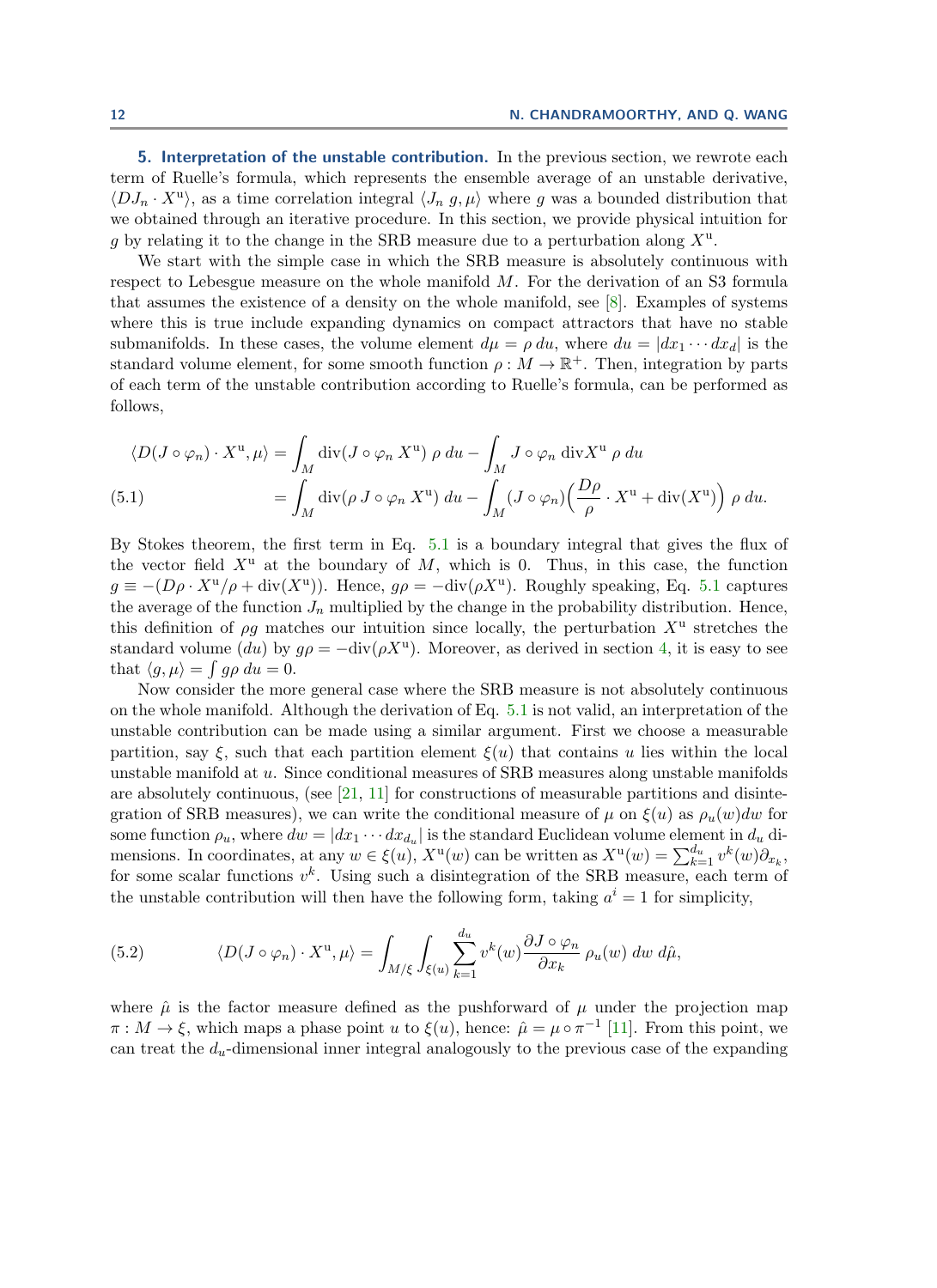<span id="page-11-0"></span>5. Interpretation of the unstable contribution. In the previous section, we rewrote each term of Ruelle's formula, which represents the ensemble average of an unstable derivative,  $\langle D J_n \cdot X^u \rangle$ , as a time correlation integral  $\langle J_n g, \mu \rangle$  where g was a bounded distribution that we obtained through an iterative procedure. In this section, we provide physical intuition for g by relating it to the change in the SRB measure due to a perturbation along  $X^{\mathrm{u}}$ .

We start with the simple case in which the SRB measure is absolutely continuous with respect to Lebesgue measure on the whole manifold M. For the derivation of an S3 formula that assumes the existence of a density on the whole manifold, see [\[8\]](#page-19-12). Examples of systems where this is true include expanding dynamics on compact attractors that have no stable submanifolds. In these cases, the volume element  $d\mu = \rho du$ , where  $du = |dx_1 \cdots dx_d|$  is the standard volume element, for some smooth function  $\rho : M \to \mathbb{R}^+$ . Then, integration by parts of each term of the unstable contribution according to Ruelle's formula, can be performed as follows,

<span id="page-11-1"></span>
$$
\langle D(J \circ \varphi_n) \cdot X^{\mathrm{u}}, \mu \rangle = \int_M \mathrm{div}(J \circ \varphi_n X^{\mathrm{u}}) \, \rho \, du - \int_M J \circ \varphi_n \, \mathrm{div} X^{\mathrm{u}} \, \rho \, du
$$
  
(5.1)  

$$
= \int_M \mathrm{div}(\rho \, J \circ \varphi_n X^{\mathrm{u}}) \, du - \int_M (J \circ \varphi_n) \Big( \frac{D\rho}{\rho} \cdot X^{\mathrm{u}} + \mathrm{div}(X^{\mathrm{u}}) \Big) \, \rho \, du.
$$

By Stokes theorem, the first term in Eq. [5.1](#page-11-1) is a boundary integral that gives the flux of the vector field  $X^u$  at the boundary of M, which is 0. Thus, in this case, the function  $g \equiv -(D\rho \cdot X^{\rm u}/\rho + \text{div}(X^{\rm u}))$ . Hence,  $g\rho = -\text{div}(\rho X^{\rm u})$ . Roughly speaking, Eq. [5.1](#page-11-1) captures the average of the function  $J_n$  multiplied by the change in the probability distribution. Hence, this definition of  $\rho g$  matches our intuition since locally, the perturbation  $X^{\mathrm{u}}$  stretches the standard volume  $(du)$  by  $g\rho = -\text{div}(\rho X^u)$ . Moreover, as derived in section [4,](#page-5-0) it is easy to see that  $\langle g, \mu \rangle = \int g \rho \, du = 0.$ 

Now consider the more general case where the SRB measure is not absolutely continuous on the whole manifold. Although the derivation of Eq. [5.1](#page-11-1) is not valid, an interpretation of the unstable contribution can be made using a similar argument. First we choose a measurable partition, say  $\xi$ , such that each partition element  $\xi(u)$  that contains u lies within the local unstable manifold at u. Since conditional measures of SRB measures along unstable manifolds are absolutely continuous, (see  $[21, 11]$  $[21, 11]$  $[21, 11]$  for constructions of measurable partitions and disintegration of SRB measures), we can write the conditional measure of  $\mu$  on  $\xi(u)$  as  $\rho_u(w)dw$  for some function  $\rho_u$ , where  $dw = |dx_1 \cdots dx_{d_u}|$  is the standard Euclidean volume element in  $d_u$  dimensions. In coordinates, at any  $w \in \xi(u)$ ,  $X^{\mathbf{u}}(w)$  can be written as  $X^{\mathbf{u}}(w) = \sum_{k=1}^{d_u} v^k(w) \partial_{x_k}$ , for some scalar functions  $v^k$ . Using such a disintegration of the SRB measure, each term of the unstable contribution will then have the following form, taking  $a^i = 1$  for simplicity,

(5.2) 
$$
\langle D(J \circ \varphi_n) \cdot X^{\mathrm{u}}, \mu \rangle = \int_{M/\xi} \int_{\xi(u)} \sum_{k=1}^{d_u} v^k(w) \frac{\partial J \circ \varphi_n}{\partial x_k} \, \rho_u(w) \, dw \, d\hat{\mu},
$$

where  $\hat{\mu}$  is the factor measure defined as the pushforward of  $\mu$  under the projection map  $\pi : M \to \xi$ , which maps a phase point u to  $\xi(u)$ , hence:  $\hat{\mu} = \mu \circ \pi^{-1}$  [\[11\]](#page-19-13). From this point, we can treat the  $d_u$ -dimensional inner integral analogously to the previous case of the expanding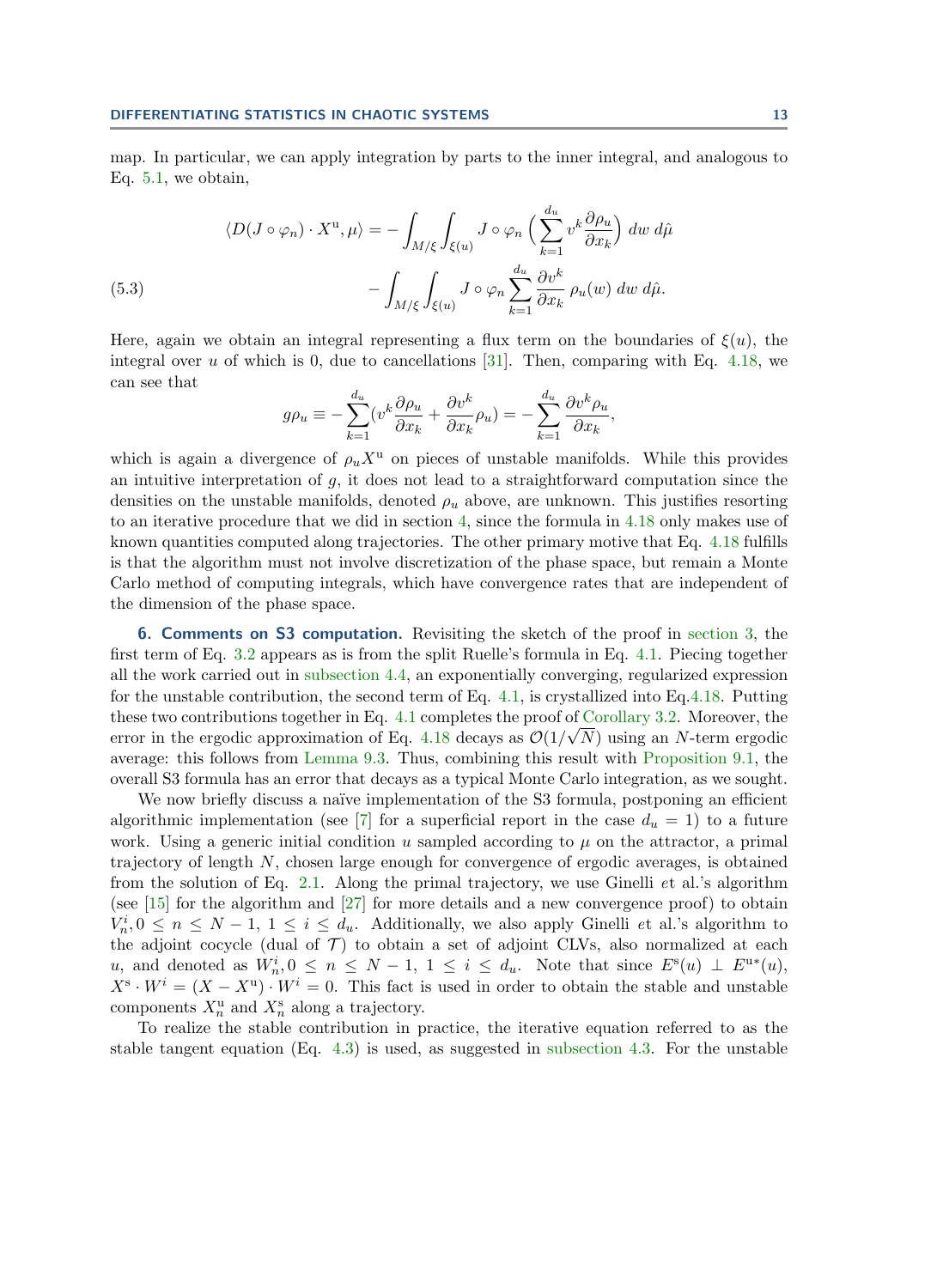map. In particular, we can apply integration by parts to the inner integral, and analogous to Eq. [5.1,](#page-11-1) we obtain,

(5.3)  
\n
$$
\langle D(J \circ \varphi_n) \cdot X^{\mathrm{u}}, \mu \rangle = -\int_{M/\xi} \int_{\xi(u)} J \circ \varphi_n \left( \sum_{k=1}^{d_u} v^k \frac{\partial \rho_u}{\partial x_k} \right) dw \, d\hat{\mu} - \int_{M/\xi} \int_{\xi(u)} J \circ \varphi_n \sum_{k=1}^{d_u} \frac{\partial v^k}{\partial x_k} \, \rho_u(w) \, dw \, d\hat{\mu}.
$$

Here, again we obtain an integral representing a flux term on the boundaries of  $\xi(u)$ , the integral over u of which is 0, due to cancellations [\[31\]](#page-20-8). Then, comparing with Eq. [4.18,](#page-10-0) we can see that

$$
g\rho_u \equiv -\sum_{k=1}^{d_u} (v^k \frac{\partial \rho_u}{\partial x_k} + \frac{\partial v^k}{\partial x_k} \rho_u) = -\sum_{k=1}^{d_u} \frac{\partial v^k \rho_u}{\partial x_k},
$$

which is again a divergence of  $\rho_u X^u$  on pieces of unstable manifolds. While this provides an intuitive interpretation of  $q$ , it does not lead to a straightforward computation since the densities on the unstable manifolds, denoted  $\rho_u$  above, are unknown. This justifies resorting to an iterative procedure that we did in section [4,](#page-5-0) since the formula in [4.18](#page-10-0) only makes use of known quantities computed along trajectories. The other primary motive that Eq. [4.18](#page-10-0) fulfills is that the algorithm must not involve discretization of the phase space, but remain a Monte Carlo method of computing integrals, which have convergence rates that are independent of the dimension of the phase space.

<span id="page-12-0"></span>6. Comments on S3 computation. Revisiting the sketch of the proof in [section 3,](#page-4-0) the first term of Eq. [3.2](#page-4-3) appears as is from the split Ruelle's formula in Eq. [4.1.](#page-6-1) Piecing together all the work carried out in [subsection 4.4,](#page-7-0) an exponentially converging, regularized expression for the unstable contribution, the second term of Eq. [4.1,](#page-6-1) is crystallized into Eq[.4.18.](#page-10-0) Putting these two contributions together in Eq.  $4.1$  completes the proof of [Corollary 3.2.](#page-4-4) Moreover, the error in the ergodic approximation of Eq. [4.18](#page-10-0) decays as  $\mathcal{O}(1/\sqrt{N})$  using an N-term ergodic average: this follows from [Lemma 9.3.](#page-18-0) Thus, combining this result with [Proposition 9.1,](#page-15-1) the overall S3 formula has an error that decays as a typical Monte Carlo integration, as we sought.

We now briefly discuss a naïve implementation of the S3 formula, postponing an efficient algorithmic implementation (see [\[7\]](#page-19-1) for a superficial report in the case  $d_u = 1$ ) to a future work. Using a generic initial condition u sampled according to  $\mu$  on the attractor, a primal trajectory of length N, chosen large enough for convergence of ergodic averages, is obtained from the solution of Eq. [2.1.](#page-2-1) Along the primal trajectory, we use Ginelli et al.'s algorithm (see  $[15]$  for the algorithm and  $[27]$  for more details and a new convergence proof) to obtain  $V_n^i, 0 \leq n \leq N-1, 1 \leq i \leq d_u$ . Additionally, we also apply Ginelli et al.'s algorithm to the adjoint cocycle (dual of  $\mathcal{T}$ ) to obtain a set of adjoint CLVs, also normalized at each u, and denoted as  $W_n^i, 0 \le n \le N-1, 1 \le i \le d_u$ . Note that since  $E^s(u) \perp E^{u*}(u)$ ,  $X^{\mathbf{s}} \cdot W^i = (X - X^{\mathbf{u}}) \cdot W^i = 0$ . This fact is used in order to obtain the stable and unstable components  $X_n^{\mathrm{u}}$  and  $X_n^{\mathrm{s}}$  along a trajectory.

To realize the stable contribution in practice, the iterative equation referred to as the stable tangent equation  $(Eq. 4.3)$  $(Eq. 4.3)$  is used, as suggested in [subsection 4.3.](#page-6-4) For the unstable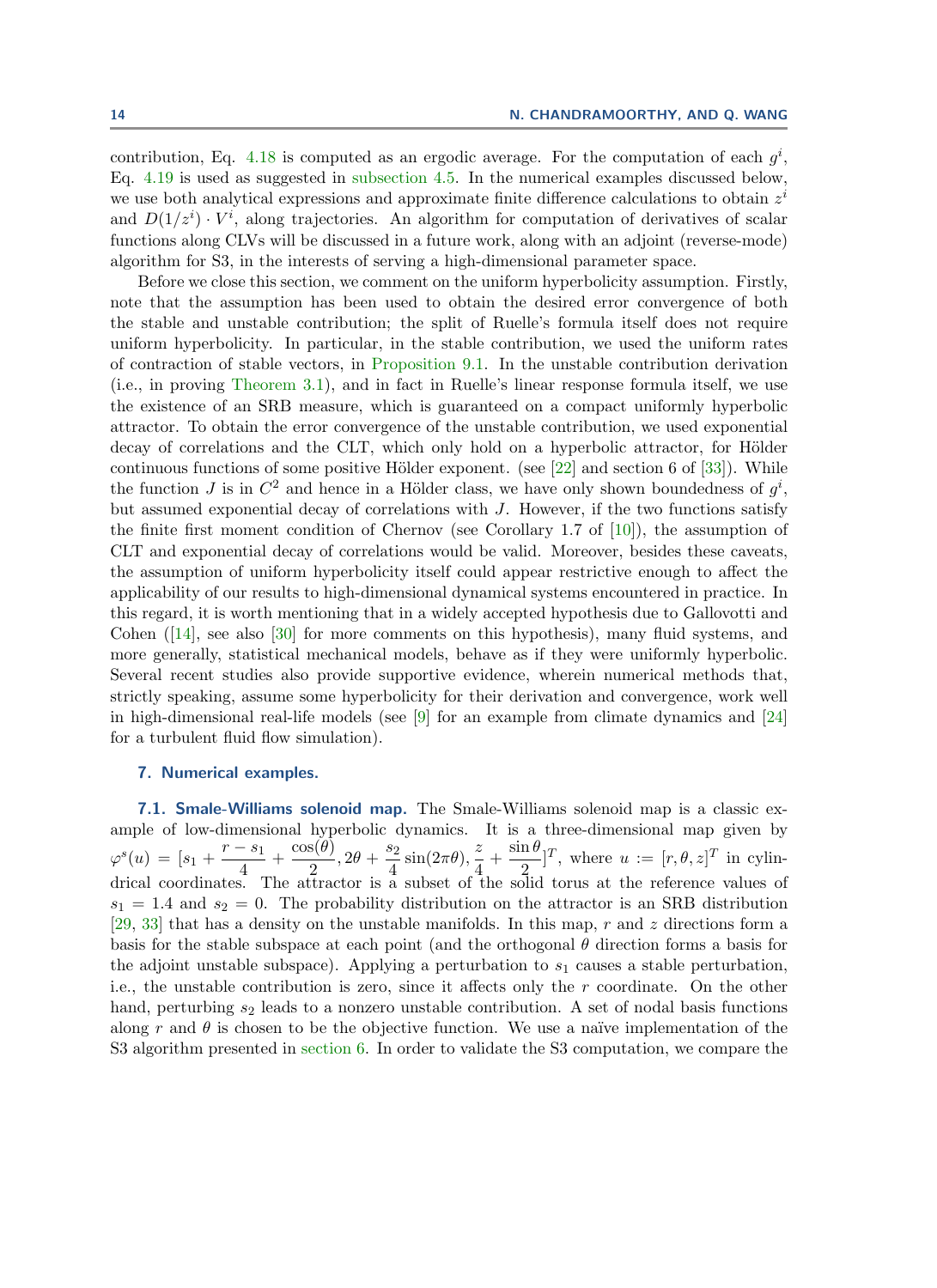contribution, Eq. [4.18](#page-10-0) is computed as an ergodic average. For the computation of each  $g^i$ , Eq. [4.19](#page-10-1) is used as suggested in [subsection 4.5.](#page-10-2) In the numerical examples discussed below, we use both analytical expressions and approximate finite difference calculations to obtain  $z^i$ and  $D(1/z^i) \cdot V^i$ , along trajectories. An algorithm for computation of derivatives of scalar functions along CLVs will be discussed in a future work, along with an adjoint (reverse-mode) algorithm for S3, in the interests of serving a high-dimensional parameter space.

Before we close this section, we comment on the uniform hyperbolicity assumption. Firstly, note that the assumption has been used to obtain the desired error convergence of both the stable and unstable contribution; the split of Ruelle's formula itself does not require uniform hyperbolicity. In particular, in the stable contribution, we used the uniform rates of contraction of stable vectors, in [Proposition 9.1.](#page-15-1) In the unstable contribution derivation (i.e., in proving [Theorem 3.1\)](#page-4-2), and in fact in Ruelle's linear response formula itself, we use the existence of an SRB measure, which is guaranteed on a compact uniformly hyperbolic attractor. To obtain the error convergence of the unstable contribution, we used exponential decay of correlations and the CLT, which only hold on a hyperbolic attractor, for Hölder continuous functions of some positive Hölder exponent. (see [\[22\]](#page-20-11) and section 6 of [\[33\]](#page-20-6)). While the function J is in  $C^2$  and hence in a Hölder class, we have only shown boundedness of  $g^i$ , but assumed exponential decay of correlations with J. However, if the two functions satisfy the finite first moment condition of Chernov (see Corollary 1.7 of  $[10]$ ), the assumption of CLT and exponential decay of correlations would be valid. Moreover, besides these caveats, the assumption of uniform hyperbolicity itself could appear restrictive enough to affect the applicability of our results to high-dimensional dynamical systems encountered in practice. In this regard, it is worth mentioning that in a widely accepted hypothesis due to Gallovotti and Cohen ([\[14\]](#page-19-15), see also [\[30\]](#page-20-12) for more comments on this hypothesis), many fluid systems, and more generally, statistical mechanical models, behave as if they were uniformly hyperbolic. Several recent studies also provide supportive evidence, wherein numerical methods that, strictly speaking, assume some hyperbolicity for their derivation and convergence, work well in high-dimensional real-life models (see [\[9\]](#page-19-16) for an example from climate dynamics and [\[24\]](#page-20-13) for a turbulent fluid flow simulation).

## <span id="page-13-0"></span>7. Numerical examples.

<span id="page-13-1"></span>7.1. Smale-Williams solenoid map. The Smale-Williams solenoid map is a classic example of low-dimensional hyperbolic dynamics. It is a three-dimensional map given by  $\varphi^s(u) = [s_1 + \frac{r - s_1}{4}]$  $\frac{-s_1}{4} + \frac{\cos(\theta)}{2}$  $\frac{s(\theta)}{2}$ ,  $2\theta + \frac{s_2}{4}$  $rac{s_2}{4}\sin(2\pi\theta), \frac{z}{4}$  $rac{z}{4} + \frac{\sin \theta}{2}$  $\frac{\partial^2 u}{\partial y^2}$ , where  $u := [r, \theta, z]^T$  in cylindrical coordinates. The attractor is a subset of the solid torus at the reference values of  $s_1 = 1.4$  and  $s_2 = 0$ . The probability distribution on the attractor is an SRB distribution [\[29,](#page-20-7) [33\]](#page-20-6) that has a density on the unstable manifolds. In this map, r and z directions form a basis for the stable subspace at each point (and the orthogonal  $\theta$  direction forms a basis for the adjoint unstable subspace). Applying a perturbation to  $s_1$  causes a stable perturbation, i.e., the unstable contribution is zero, since it affects only the  $r$  coordinate. On the other hand, perturbing  $s_2$  leads to a nonzero unstable contribution. A set of nodal basis functions along r and  $\theta$  is chosen to be the objective function. We use a naïve implementation of the S3 algorithm presented in [section 6.](#page-12-0) In order to validate the S3 computation, we compare the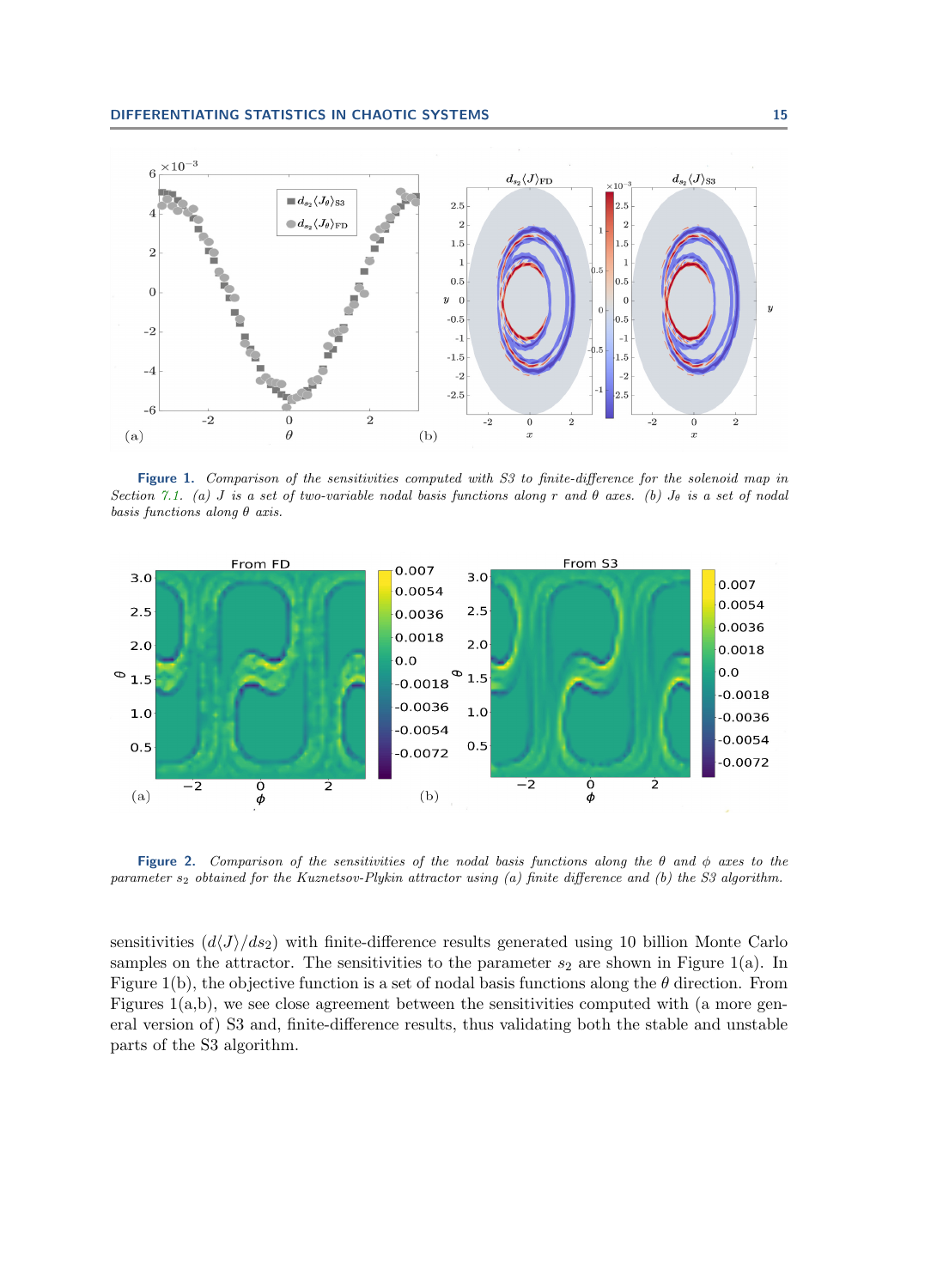

Figure 1. Comparison of the sensitivities computed with S3 to finite-difference for the solenoid map in Section [7.1.](#page-13-1) (a) J is a set of two-variable nodal basis functions along r and  $\theta$  axes. (b)  $J_{\theta}$  is a set of nodal basis functions along  $\theta$  axis.

<span id="page-14-0"></span>

Figure 2. Comparison of the sensitivities of the nodal basis functions along the  $\theta$  and  $\phi$  axes to the parameter  $s_2$  obtained for the Kuznetsov-Plykin attractor using (a) finite difference and (b) the S3 algorithm.

sensitivities  $\left(\frac{d\langle J\rangle}{ds_2}\right)$  with finite-difference results generated using 10 billion Monte Carlo samples on the attractor. The sensitivities to the parameter  $s_2$  are shown in Figure 1(a). In Figure 1(b), the objective function is a set of nodal basis functions along the  $\theta$  direction. From Figures  $1(a,b)$ , we see close agreement between the sensitivities computed with (a more general version of) S3 and, finite-difference results, thus validating both the stable and unstable parts of the S3 algorithm.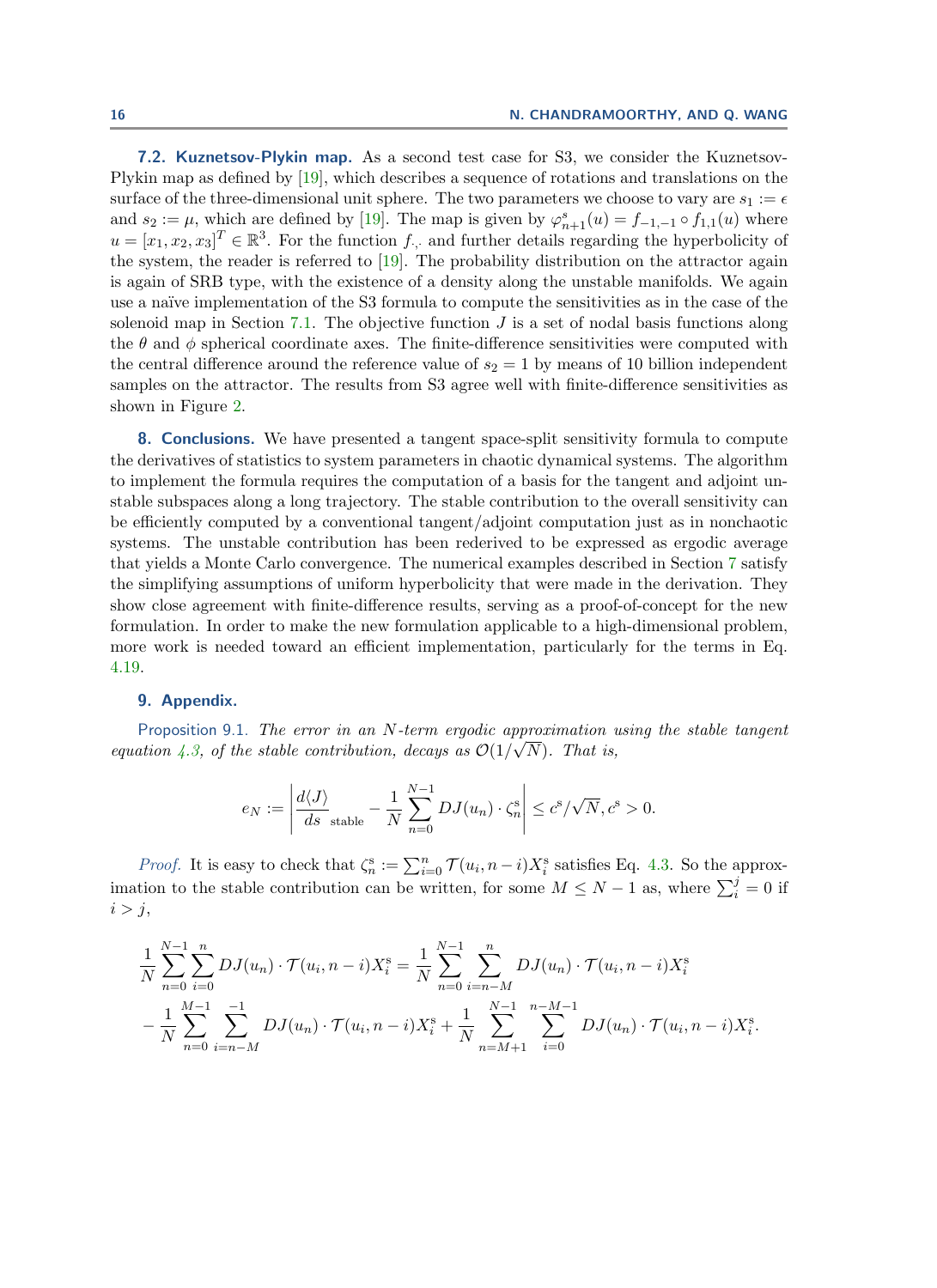7.2. Kuznetsov-Plykin map. As a second test case for S3, we consider the Kuznetsov-Plykin map as defined by [\[19\]](#page-20-14), which describes a sequence of rotations and translations on the surface of the three-dimensional unit sphere. The two parameters we choose to vary are  $s_1 := \epsilon$ and  $s_2 := \mu$ , which are defined by [\[19\]](#page-20-14). The map is given by  $\varphi_{n+1}^s(u) = f_{-1,-1} \circ f_{1,1}(u)$  where  $u = [x_1, x_2, x_3]^T \in \mathbb{R}^3$ . For the function  $f_{\cdot,\cdot}$  and further details regarding the hyperbolicity of the system, the reader is referred to [\[19\]](#page-20-14). The probability distribution on the attractor again is again of SRB type, with the existence of a density along the unstable manifolds. We again use a naïve implementation of the S3 formula to compute the sensitivities as in the case of the solenoid map in Section [7.1.](#page-13-1) The objective function  $J$  is a set of nodal basis functions along the  $\theta$  and  $\phi$  spherical coordinate axes. The finite-difference sensitivities were computed with the central difference around the reference value of  $s_2 = 1$  by means of 10 billion independent samples on the attractor. The results from S3 agree well with finite-difference sensitivities as shown in Figure [2.](#page-14-0)

<span id="page-15-0"></span>8. Conclusions. We have presented a tangent space-split sensitivity formula to compute the derivatives of statistics to system parameters in chaotic dynamical systems. The algorithm to implement the formula requires the computation of a basis for the tangent and adjoint unstable subspaces along a long trajectory. The stable contribution to the overall sensitivity can be efficiently computed by a conventional tangent/adjoint computation just as in nonchaotic systems. The unstable contribution has been rederived to be expressed as ergodic average that yields a Monte Carlo convergence. The numerical examples described in Section [7](#page-13-0) satisfy the simplifying assumptions of uniform hyperbolicity that were made in the derivation. They show close agreement with finite-difference results, serving as a proof-of-concept for the new formulation. In order to make the new formulation applicable to a high-dimensional problem, more work is needed toward an efficient implementation, particularly for the terms in Eq. [4.19.](#page-10-1)

# <span id="page-15-1"></span>9. Appendix.

Proposition 9.1. The error in an N-term ergodic approximation using the stable tangent equation [4.3,](#page-6-3) of the stable contribution, decays as  $\mathcal{O}(1/\sqrt{N})$ . That is,

$$
e_N := \left| \frac{d\langle J \rangle}{ds}_{\text{stable}} - \frac{1}{N} \sum_{n=0}^{N-1} DJ(u_n) \cdot \zeta_n^s \right| \le c^s / \sqrt{N}, c^s > 0.
$$

*Proof.* It is easy to check that  $\zeta_n^s := \sum_{i=0}^n \mathcal{T}(u_i, n-i)X_i^s$  satisfies Eq. [4.3.](#page-6-3) So the approximation to the stable contribution can be written, for some  $M \leq N - 1$  as, where  $\sum_{i=1}^{j} = 0$  if  $i > j$ ,

$$
\frac{1}{N} \sum_{n=0}^{N-1} \sum_{i=0}^{n} DJ(u_n) \cdot \mathcal{T}(u_i, n-i)X_i^s = \frac{1}{N} \sum_{n=0}^{N-1} \sum_{i=n-M}^{n} DJ(u_n) \cdot \mathcal{T}(u_i, n-i)X_i^s
$$

$$
-\frac{1}{N} \sum_{n=0}^{M-1} \sum_{i=n-M}^{-1} DJ(u_n) \cdot \mathcal{T}(u_i, n-i)X_i^s + \frac{1}{N} \sum_{n=M+1}^{N-1} \sum_{i=0}^{n-M-1} DJ(u_n) \cdot \mathcal{T}(u_i, n-i)X_i^s.
$$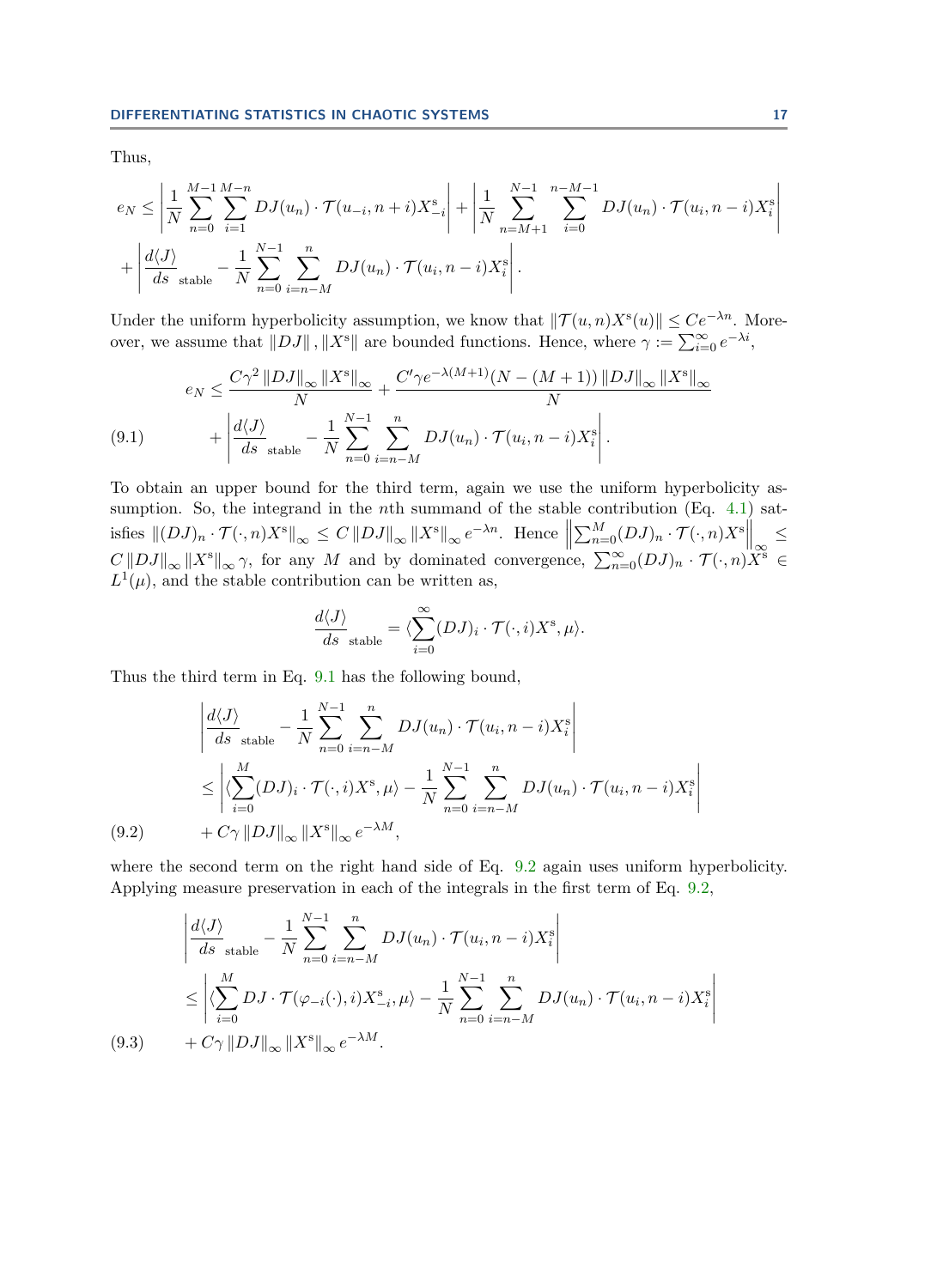Thus,

$$
e_N \le \left| \frac{1}{N} \sum_{n=0}^{M-1} \sum_{i=1}^{M-n} DJ(u_n) \cdot \mathcal{T}(u_{-i}, n+i) X_{-i}^s \right| + \left| \frac{1}{N} \sum_{n=M+1}^{N-1} \sum_{i=0}^{n-M-1} DJ(u_n) \cdot \mathcal{T}(u_i, n-i) X_i^s \right| + \left| \frac{d\langle J \rangle}{ds \text{ stable}} - \frac{1}{N} \sum_{n=0}^{N-1} \sum_{i=n-M}^{n} DJ(u_n) \cdot \mathcal{T}(u_i, n-i) X_i^s \right|.
$$

Under the uniform hyperbolicity assumption, we know that  $||\mathcal{T}(u, n)X^s(u)|| \leq Ce^{-\lambda n}$ . Moreover, we assume that  $||DJ||$ ,  $||X^s||$  are bounded functions. Hence, where  $\gamma := \sum_{i=0}^{\infty} e^{-\lambda i}$ ,

<span id="page-16-0"></span>
$$
e_N \leq \frac{C\gamma^2 \|DJ\|_{\infty} \|X^s\|_{\infty}}{N} + \frac{C'\gamma e^{-\lambda(M+1)}(N - (M+1)) \|DJ\|_{\infty} \|X^s\|_{\infty}}{\lambda} + \left| \frac{d\langle J \rangle}{ds}_{stable} - \frac{1}{N} \sum_{n=0}^{N-1} \sum_{i=n-M}^{n} DJ(u_n) \cdot \mathcal{T}(u_i, n-i)X_i^s \right|.
$$
\n(9.1)

To obtain an upper bound for the third term, again we use the uniform hyperbolicity assumption. So, the integrand in the *n*th summand of the stable contribution (Eq.  $4.1$ ) satisfies  $||(DJ)_n \cdot \mathcal{T}(\cdot, n)X^s||_{\infty} \leq C ||DJ||_{\infty} ||X^s||_{\infty} e^{-\lambda n}$ . Hence  $\sum_{n=0}^{M} (DJ)_n \cdot \mathcal{T}(\cdot, n) X^s \bigg\|_{\infty} \leq$  $C||DJ||_{\infty}||X^s||_{\infty} \gamma$ , for any M and by dominated convergence,  $\sum_{n=0}^{\infty} (DJ)_n \cdot T(\cdot, n)X^s \in$  $L^1(\mu)$ , and the stable contribution can be written as,

$$
\frac{d\langle J\rangle}{ds}_{stable} = \langle \sum_{i=0}^{\infty} (DJ)_i \cdot \mathcal{T}(\cdot, i) X^{\rm s}, \mu \rangle.
$$

Thus the third term in Eq. [9.1](#page-16-0) has the following bound,

$$
\left| \frac{d\langle J \rangle}{ds}_{stable} - \frac{1}{N} \sum_{n=0}^{N-1} \sum_{i=n-M}^{n} DJ(u_n) \cdot \mathcal{T}(u_i, n-i)X_i^s \right|
$$
  
\n
$$
\leq \left| \langle \sum_{i=0}^{M} (DJ)_i \cdot \mathcal{T}(\cdot, i)X^s, \mu \rangle - \frac{1}{N} \sum_{n=0}^{N-1} \sum_{i=n-M}^{n} DJ(u_n) \cdot \mathcal{T}(u_i, n-i)X_i^s \right|
$$
  
\n(9.2) +  $C\gamma ||DJ||_{\infty} ||X^s||_{\infty} e^{-\lambda M},$ 

<span id="page-16-1"></span>where the second term on the right hand side of Eq.  $9.2$  again uses uniform hyperbolicity. Applying measure preservation in each of the integrals in the first term of Eq. [9.2,](#page-16-1)

<span id="page-16-2"></span>
$$
\left| \frac{d\langle J \rangle}{ds}_{\text{stable}} - \frac{1}{N} \sum_{n=0}^{N-1} \sum_{i=n-M}^{n} DJ(u_n) \cdot \mathcal{T}(u_i, n-i)X_i^s \right|
$$
  
\n
$$
\leq \left| \langle \sum_{i=0}^{M} DJ \cdot \mathcal{T}(\varphi_{-i}(\cdot), i)X_{-i}^s, \mu \rangle - \frac{1}{N} \sum_{n=0}^{N-1} \sum_{i=n-M}^{n} DJ(u_n) \cdot \mathcal{T}(u_i, n-i)X_i^s \right|
$$
  
\n(9.3)  $+ C\gamma ||DJ||_{\infty} ||X^s||_{\infty} e^{-\lambda M}.$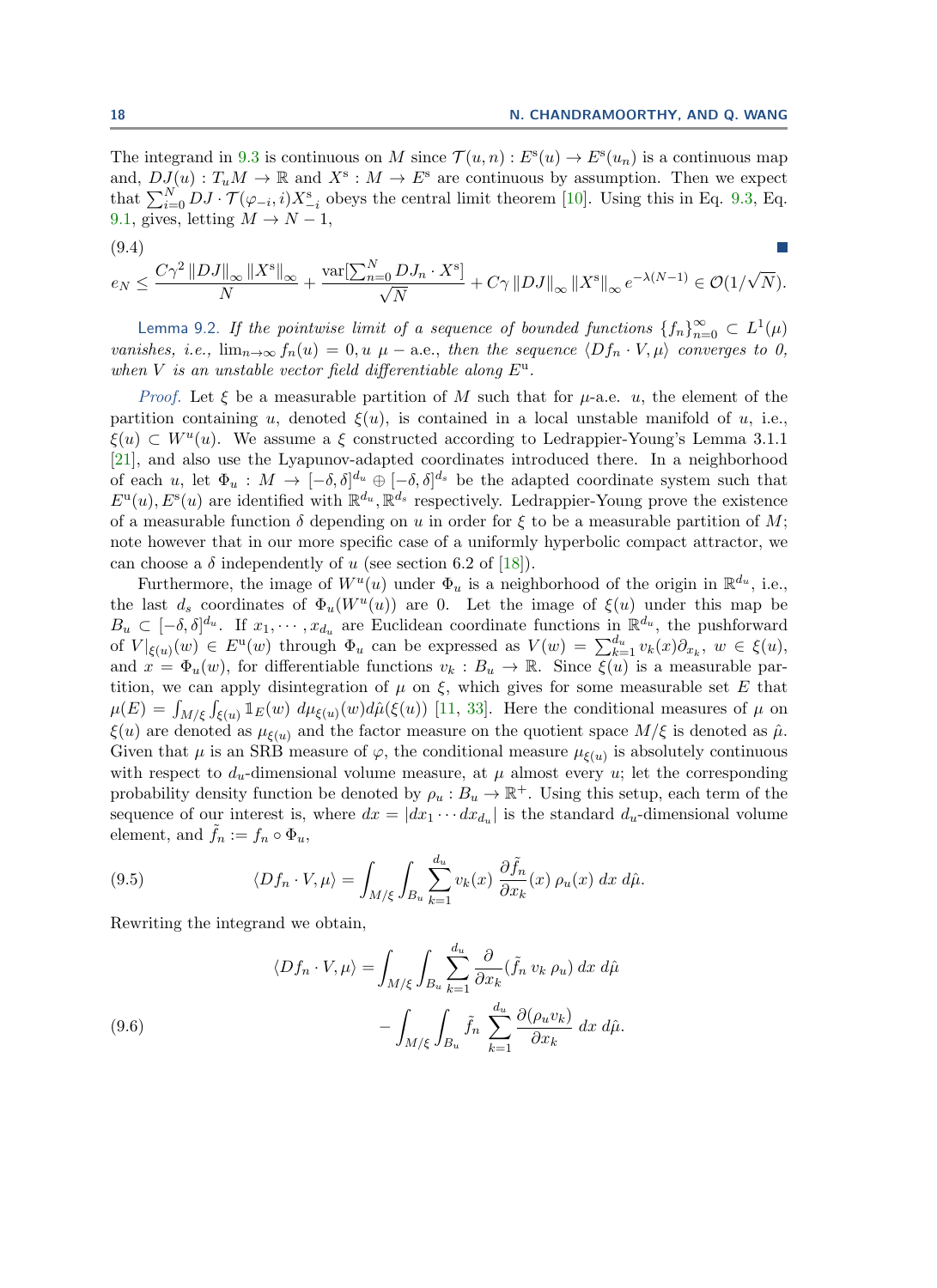The integrand in [9.3](#page-16-2) is continuous on M since  $\mathcal{T}(u,n): E^s(u) \to E^s(u_n)$  is a continuous map and,  $DJ(u) : T_uM \to \mathbb{R}$  and  $X^s : M \to E^s$  are continuous by assumption. Then we expect that  $\sum_{i=0}^{N} DJ \cdot \mathcal{T}(\varphi_{-i}, i)X_{-i}^{\mathrm{s}}$  obeys the central limit theorem [\[10\]](#page-19-11). Using this in Eq. [9.3,](#page-16-2) Eq. [9.1,](#page-16-0) gives, letting  $M \to N - 1$ ,

$$
\frac{(9.4)}{e_N}\leq \frac{C\gamma^2\left\|DJ\right\|_{\infty}\left\|X^{\text{s}}\right\|_{\infty}}{N}+\frac{\text{var}[\sum_{n=0}^{N}DJ_n\cdot X^{\text{s}}]}{\sqrt{N}}+C\gamma\left\|DJ\right\|_{\infty}\left\|X^{\text{s}}\right\|_{\infty}e^{-\lambda(N-1)}\in\mathcal{O}(1/\sqrt{N}).
$$

<span id="page-17-0"></span>Lemma 9.2. If the pointwise limit of a sequence of bounded functions  $\{f_n\}_{n=0}^{\infty} \subset L^1(\mu)$ vanishes, i.e.,  $\lim_{n\to\infty} f_n(u) = 0, u \mu$  – a.e., then the sequence  $\langle Df_n \cdot V, \mu \rangle$  converges to 0, when V is an unstable vector field differentiable along  $E^u$ .

*Proof.* Let  $\xi$  be a measurable partition of M such that for  $\mu$ -a.e.  $u$ , the element of the partition containing u, denoted  $\xi(u)$ , is contained in a local unstable manifold of u, i.e.,  $\xi(u) \subset W^u(u)$ . We assume a  $\xi$  constructed according to Ledrappier-Young's Lemma 3.1.1 [\[21\]](#page-20-9), and also use the Lyapunov-adapted coordinates introduced there. In a neighborhood of each u, let  $\Phi_u: M \to [-\delta, \delta]^{d_u} \oplus [-\delta, \delta]^{d_s}$  be the adapted coordinate system such that  $E^{\mathrm{u}}(u)$ ,  $E^{\mathrm{s}}(u)$  are identified with  $\mathbb{R}^{d_u}, \mathbb{R}^{d_s}$  respectively. Ledrappier-Young prove the existence of a measurable function  $\delta$  depending on u in order for  $\xi$  to be a measurable partition of M; note however that in our more specific case of a uniformly hyperbolic compact attractor, we can choose a  $\delta$  independently of u (see section 6.2 of [\[18\]](#page-20-15)).

Furthermore, the image of  $W^u(u)$  under  $\Phi_u$  is a neighborhood of the origin in  $\mathbb{R}^{d_u}$ , i.e., the last  $d_s$  coordinates of  $\Phi_u(W^u(u))$  are 0. Let the image of  $\xi(u)$  under this map be  $B_u \subset [-\delta, \delta]^{d_u}$ . If  $x_1, \cdots, x_{d_u}$  are Euclidean coordinate functions in  $\mathbb{R}^{d_u}$ , the pushforward of  $V|_{\xi(u)}(w) \in E^u(w)$  through  $\Phi_u$  can be expressed as  $V(w) = \sum_{k=1}^{d_u} v_k(x) \partial_{x_k}$ ,  $w \in \xi(u)$ , and  $x = \Phi_u(w)$ , for differentiable functions  $v_k : B_u \to \mathbb{R}$ . Since  $\overline{\xi(u)}$  is a measurable partition, we can apply disintegration of  $\mu$  on  $\xi$ , which gives for some measurable set E that  $\mu(E) = \int_{M/\xi} \int_{\xi(u)} \mathbb{1}_E(w) d\mu_{\xi(u)}(w) d\hat{\mu}(\xi(u))$  [\[11,](#page-19-13) [33\]](#page-20-6). Here the conditional measures of  $\mu$  on  $\xi(u)$  are denoted as  $\mu_{\xi(u)}$  and the factor measure on the quotient space  $M/\xi$  is denoted as  $\hat{\mu}$ . Given that  $\mu$  is an SRB measure of  $\varphi$ , the conditional measure  $\mu_{\xi(u)}$  is absolutely continuous with respect to  $d_u$ -dimensional volume measure, at  $\mu$  almost every u; let the corresponding probability density function be denoted by  $\rho_u : B_u \to \mathbb{R}^+$ . Using this setup, each term of the sequence of our interest is, where  $dx = |dx_1 \cdots dx_{d_u}|$  is the standard  $d_u$ -dimensional volume element, and  $\tilde{f}_n := f_n \circ \Phi_u$ ,

(9.5) 
$$
\langle Df_n \cdot V, \mu \rangle = \int_{M/\xi} \int_{B_u} \sum_{k=1}^{d_u} v_k(x) \frac{\partial \tilde{f}_n}{\partial x_k}(x) \rho_u(x) dx d\hat{\mu}.
$$

Rewriting the integrand we obtain,

(9.6)  

$$
\langle Df_n \cdot V, \mu \rangle = \int_{M/\xi} \int_{B_u} \sum_{k=1}^{d_u} \frac{\partial}{\partial x_k} (\tilde{f}_n v_k \rho_u) dx d\hat{\mu} - \int_{M/\xi} \int_{B_u} \tilde{f}_n \sum_{k=1}^{d_u} \frac{\partial (\rho_u v_k)}{\partial x_k} dx d\hat{\mu}.
$$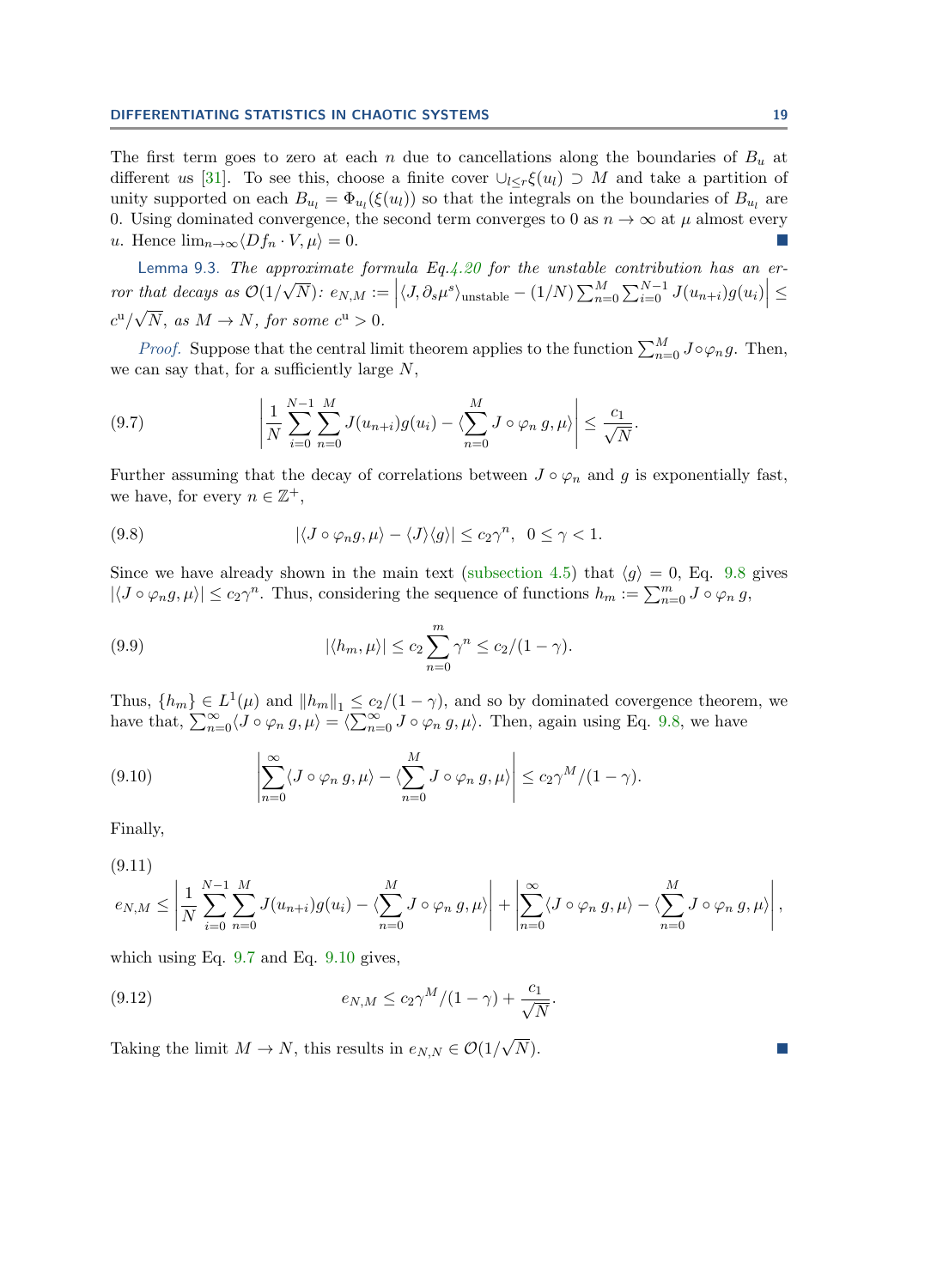The first term goes to zero at each n due to cancellations along the boundaries of  $B_u$  at different us [\[31\]](#page-20-8). To see this, choose a finite cover  $\bigcup_{l\leq r}\xi(u_l)\supset M$  and take a partition of unity supported on each  $B_{u_l} = \Phi_{u_l}(\xi(u_l))$  so that the integrals on the boundaries of  $B_{u_l}$  are 0. Using dominated convergence, the second term converges to 0 as  $n \to \infty$  at  $\mu$  almost every u. Hence  $\lim_{n\to\infty}\langle Df_n\cdot V,\mu\rangle=0.$ 

<span id="page-18-0"></span>Lemma 9.3. The approximate formula Eq[.4.20](#page-10-3) for the unstable contribution has an error that decays as  $\mathcal{O}(1)$  $\frac{\mu}{\mu}$ that decays as  $\mathcal{O}(1/\sqrt{N})$ :  $e_{N,M} := \left| \langle J, \partial_s \mu^s \rangle_{\text{unstable}} - (1/N) \sum_{n=0}^M \sum_{i=0}^{N-1} J(u_{n+i}) g(u_i) \right| \le$  $c^{\rm u}/\sqrt{N}$ , as  $M \to N$ , for some  $c^{\rm u} > 0$ .

*Proof.* Suppose that the central limit theorem applies to the function  $\sum_{n=0}^{M} J \circ \varphi_n g$ . Then, we can say that, for a sufficiently large  $N$ ,

<span id="page-18-2"></span>(9.7) 
$$
\left| \frac{1}{N} \sum_{i=0}^{N-1} \sum_{n=0}^{M} J(u_{n+i}) g(u_i) - \langle \sum_{n=0}^{M} J \circ \varphi_n g, \mu \rangle \right| \leq \frac{c_1}{\sqrt{N}}.
$$

Further assuming that the decay of correlations between  $J \circ \varphi_n$  and g is exponentially fast, we have, for every  $n \in \mathbb{Z}^+$ ,

<span id="page-18-1"></span>(9.8) 
$$
|\langle J \circ \varphi_n g, \mu \rangle - \langle J \rangle \langle g \rangle| \le c_2 \gamma^n, \quad 0 \le \gamma < 1.
$$

Since we have already shown in the main text [\(subsection 4.5\)](#page-10-2) that  $\langle q \rangle = 0$ , Eq. [9.8](#page-18-1) gives  $|\langle J \circ \varphi_n g, \mu \rangle| \le c_2 \gamma^n$ . Thus, considering the sequence of functions  $h_m := \sum_{n=0}^m J \circ \varphi_n g$ ,

(9.9) 
$$
|\langle h_m, \mu \rangle| \leq c_2 \sum_{n=0}^m \gamma^n \leq c_2/(1-\gamma).
$$

Thus,  $\{h_m\} \in L^1(\mu)$  and  $||h_m||_1 \leq c_2/(1-\gamma)$ , and so by dominated covergence theorem, we have that,  $\sum_{n=0}^{\infty} \langle J \circ \varphi_n g, \mu \rangle = \langle \sum_{n=0}^{\infty} J \circ \varphi_n g, \mu \rangle$ . Then, again using Eq. [9.8,](#page-18-1) we have

<span id="page-18-3"></span>(9.10) 
$$
\left|\sum_{n=0}^{\infty} \langle J \circ \varphi_n g, \mu \rangle - \langle \sum_{n=0}^{M} J \circ \varphi_n g, \mu \rangle \right| \leq c_2 \gamma^M/(1-\gamma).
$$

Finally,

$$
(9.11)
$$
  

$$
e_{N,M} \leq \left| \frac{1}{N} \sum_{i=0}^{N-1} \sum_{n=0}^{M} J(u_{n+i}) g(u_i) - \left\langle \sum_{n=0}^{M} J \circ \varphi_n g, \mu \right\rangle \right| + \left| \sum_{n=0}^{\infty} \left\langle J \circ \varphi_n g, \mu \right\rangle - \left\langle \sum_{n=0}^{M} J \circ \varphi_n g, \mu \right\rangle \right|,
$$

which using Eq. [9.7](#page-18-2) and Eq. [9.10](#page-18-3) gives,

(9.12) 
$$
e_{N,M} \le c_2 \gamma^M / (1 - \gamma) + \frac{c_1}{\sqrt{N}}.
$$

Taking the limit  $M \to N$ , this results in  $e_{N,N} \in \mathcal{O}(1/\sqrt{N})$ √ N).

 $\mathcal{C}^{\mathcal{A}}$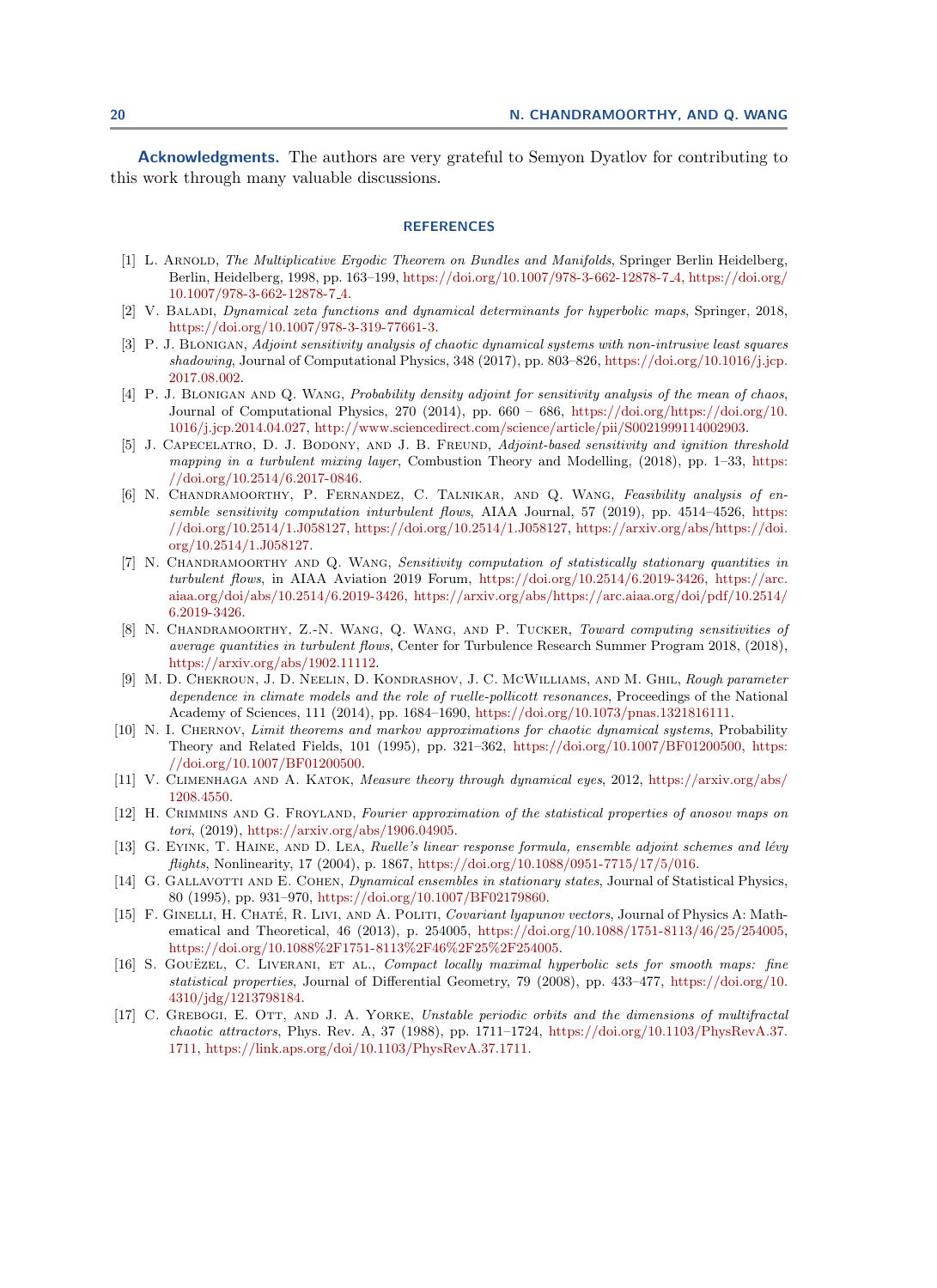Acknowledgments. The authors are very grateful to Semyon Dyatlov for contributing to this work through many valuable discussions.

## **REFERENCES**

- <span id="page-19-10"></span>[1] L. ARNOLD, The Multiplicative Ergodic Theorem on Bundles and Manifolds, Springer Berlin Heidelberg, Berlin, Heidelberg, 1998, pp. 163–199, [https://doi.org/10.1007/978-3-662-12878-7](https://doi.org/10.1007/978-3-662-12878-7_4) 4, [https://doi.org/](https://doi.org/10.1007/978-3-662-12878-7_4) [10.1007/978-3-662-12878-7](https://doi.org/10.1007/978-3-662-12878-7_4) 4.
- <span id="page-19-9"></span>[2] V. Baladi, Dynamical zeta functions and dynamical determinants for hyperbolic maps, Springer, 2018, [https://doi.org/10.1007/978-3-319-77661-3.](https://doi.org/10.1007/978-3-319-77661-3)
- <span id="page-19-2"></span>[3] P. J. BLONIGAN, Adjoint sensitivity analysis of chaotic dynamical systems with non-intrusive least squares shadowing, Journal of Computational Physics, 348 (2017), pp. 803–826, [https://doi.org/10.1016/j.jcp.](https://doi.org/10.1016/j.jcp.2017.08.002) [2017.08.002.](https://doi.org/10.1016/j.jcp.2017.08.002)
- <span id="page-19-3"></span>[4] P. J. BLONIGAN AND Q. WANG, Probability density adjoint for sensitivity analysis of the mean of chaos, Journal of Computational Physics, 270 (2014), pp. 660 – 686, [https://doi.org/https://doi.org/10.](https://doi.org/https://doi.org/10.1016/j.jcp.2014.04.027) [1016/j.jcp.2014.04.027,](https://doi.org/https://doi.org/10.1016/j.jcp.2014.04.027) [http://www.sciencedirect.com/science/article/pii/S0021999114002903.](http://www.sciencedirect.com/science/article/pii/S0021999114002903)
- <span id="page-19-0"></span>[5] J. CAPECELATRO, D. J. BODONY, AND J. B. FREUND, Adjoint-based sensitivity and ignition threshold mapping in a turbulent mixing layer, Combustion Theory and Modelling,  $(2018)$ , pp. 1–33, [https:](https://doi.org/10.2514/6.2017-0846) [//doi.org/10.2514/6.2017-0846.](https://doi.org/10.2514/6.2017-0846)
- <span id="page-19-6"></span>[6] N. CHANDRAMOORTHY, P. FERNANDEZ, C. TALNIKAR, AND Q. WANG, Feasibility analysis of ensemble sensitivity computation inturbulent flows, AIAA Journal, 57 (2019), pp. 4514–4526, [https:](https://doi.org/10.2514/1.J058127) [//doi.org/10.2514/1.J058127,](https://doi.org/10.2514/1.J058127) [https://doi.org/10.2514/1.J058127,](https://doi.org/10.2514/1.J058127) [https://arxiv.org/abs/https://doi.](https://arxiv.org/abs/https://doi.org/10.2514/1.J058127) [org/10.2514/1.J058127.](https://arxiv.org/abs/https://doi.org/10.2514/1.J058127)
- <span id="page-19-1"></span>[7] N. CHANDRAMOORTHY AND Q. WANG, Sensitivity computation of statistically stationary quantities in turbulent flows, in AIAA Aviation 2019 Forum, [https://doi.org/10.2514/6.2019-3426,](https://doi.org/10.2514/6.2019-3426) [https://arc.](https://arc.aiaa.org/doi/abs/10.2514/6.2019-3426) [aiaa.org/doi/abs/10.2514/6.2019-3426,](https://arc.aiaa.org/doi/abs/10.2514/6.2019-3426) [https://arxiv.org/abs/https://arc.aiaa.org/doi/pdf/10.2514/](https://arxiv.org/abs/https://arc.aiaa.org/doi/pdf/10.2514/6.2019-3426) [6.2019-3426.](https://arxiv.org/abs/https://arc.aiaa.org/doi/pdf/10.2514/6.2019-3426)
- <span id="page-19-12"></span>[8] N. Chandramoorthy, Z.-N. Wang, Q. Wang, and P. Tucker, Toward computing sensitivities of average quantities in turbulent flows, Center for Turbulence Research Summer Program 2018, (2018), [https://arxiv.org/abs/1902.11112.](https://arxiv.org/abs/1902.11112)
- <span id="page-19-16"></span>[9] M. D. Chekroun, J. D. Neelin, D. Kondrashov, J. C. McWilliams, and M. Ghil, Rough parameter dependence in climate models and the role of ruelle-pollicott resonances, Proceedings of the National Academy of Sciences, 111 (2014), pp. 1684–1690, [https://doi.org/10.1073/pnas.1321816111.](https://doi.org/10.1073/pnas.1321816111)
- <span id="page-19-11"></span>[10] N. I. Chernov, Limit theorems and markov approximations for chaotic dynamical systems, Probability Theory and Related Fields, 101 (1995), pp. 321–362, [https://doi.org/10.1007/BF01200500,](https://doi.org/10.1007/BF01200500) [https:](https://doi.org/10.1007/BF01200500) [//doi.org/10.1007/BF01200500.](https://doi.org/10.1007/BF01200500)
- <span id="page-19-13"></span>[11] V. Climenhaga and A. Katok, Measure theory through dynamical eyes, 2012, [https://arxiv.org/abs/](https://arxiv.org/abs/1208.4550) [1208.4550.](https://arxiv.org/abs/1208.4550)
- <span id="page-19-7"></span>[12] H. Crimmins and G. Froyland, Fourier approximation of the statistical properties of anosov maps on tori, (2019), [https://arxiv.org/abs/1906.04905.](https://arxiv.org/abs/1906.04905)
- <span id="page-19-5"></span>[13] G. EYINK, T. HAINE, AND D. LEA, Ruelle's linear response formula, ensemble adjoint schemes and lévy flights, Nonlinearity, 17 (2004), p. 1867, [https://doi.org/10.1088/0951-7715/17/5/016.](https://doi.org/10.1088/0951-7715/17/5/016)
- <span id="page-19-15"></span>[14] G. GALLAVOTTI AND E. COHEN, *Dynamical ensembles in stationary states*, Journal of Statistical Physics, 80 (1995), pp. 931–970, [https://doi.org/10.1007/BF02179860.](https://doi.org/10.1007/BF02179860)
- <span id="page-19-14"></span>[15] F. GINELLI, H. CHATÉ, R. LIVI, AND A. POLITI, *Covariant lyapunov vectors*, Journal of Physics A: Mathematical and Theoretical, 46 (2013), p. 254005, [https://doi.org/10.1088/1751-8113/46/25/254005,](https://doi.org/10.1088/1751-8113/46/25/254005) [https://doi.org/10.1088%2F1751-8113%2F46%2F25%2F254005.](https://doi.org/10.1088%2F1751-8113%2F46%2F25%2F254005)
- <span id="page-19-8"></span>[16] S. GOUEZEL, C. LIVERANI, ET AL., Compact locally maximal hyperbolic sets for smooth maps: fine statistical properties, Journal of Differential Geometry, 79 (2008), pp. 433–477, [https://doi.org/10.](https://doi.org/10.4310/jdg/1213798184) [4310/jdg/1213798184.](https://doi.org/10.4310/jdg/1213798184)
- <span id="page-19-4"></span>[17] C. GREBOGI, E. OTT, AND J. A. YORKE, Unstable periodic orbits and the dimensions of multifractal chaotic attractors, Phys. Rev. A, 37 (1988), pp. 1711–1724, [https://doi.org/10.1103/PhysRevA.37.](https://doi.org/10.1103/PhysRevA.37.1711) [1711,](https://doi.org/10.1103/PhysRevA.37.1711) [https://link.aps.org/doi/10.1103/PhysRevA.37.1711.](https://link.aps.org/doi/10.1103/PhysRevA.37.1711)